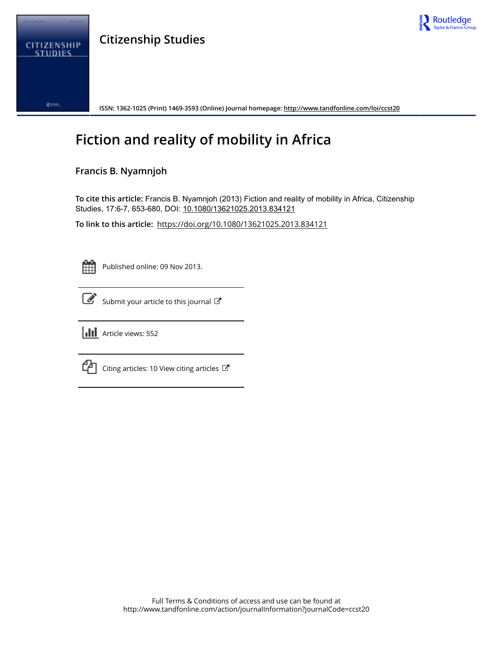

## **Citizenship Studies**



**ISSN: 1362-1025 (Print) 1469-3593 (Online) Journal homepage:<http://www.tandfonline.com/loi/ccst20>**

# **Fiction and reality of mobility in Africa**

## **Francis B. Nyamnjoh**

**To cite this article:** Francis B. Nyamnjoh (2013) Fiction and reality of mobility in Africa, Citizenship Studies, 17:6-7, 653-680, DOI: [10.1080/13621025.2013.834121](http://www.tandfonline.com/action/showCitFormats?doi=10.1080/13621025.2013.834121)

**To link to this article:** <https://doi.org/10.1080/13621025.2013.834121>

Published online: 09 Nov 2013.

|--|

[Submit your article to this journal](http://www.tandfonline.com/action/authorSubmission?journalCode=ccst20&show=instructions)  $\mathbb{Z}$ 





 $\Box$  [Citing articles: 10 View citing articles](http://www.tandfonline.com/doi/citedby/10.1080/13621025.2013.834121#tabModule)  $\Box$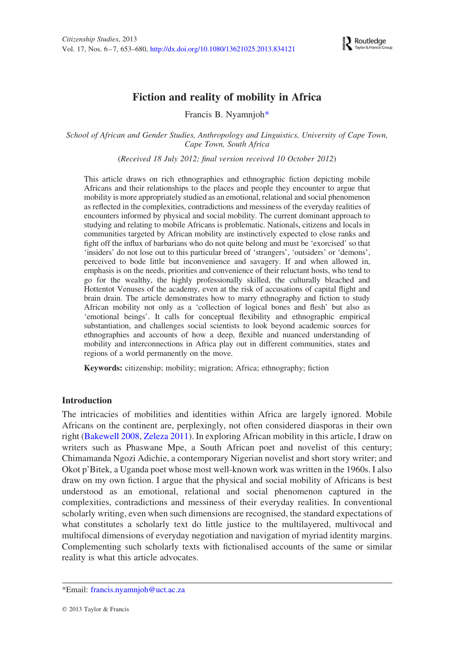

### Fiction and reality of mobility in Africa

Francis B. Nyamnjoh\*

School of African and Gender Studies, Anthropology and Linguistics, University of Cape Town, Cape Town, South Africa

(Received 18 July 2012; final version received 10 October 2012)

This article draws on rich ethnographies and ethnographic fiction depicting mobile Africans and their relationships to the places and people they encounter to argue that mobility is more appropriately studied as an emotional, relational and social phenomenon as reflected in the complexities, contradictions and messiness of the everyday realities of encounters informed by physical and social mobility. The current dominant approach to studying and relating to mobile Africans is problematic. Nationals, citizens and locals in communities targeted by African mobility are instinctively expected to close ranks and fight off the influx of barbarians who do not quite belong and must be 'exorcised' so that 'insiders' do not lose out to this particular breed of 'strangers', 'outsiders' or 'demons', perceived to bode little but inconvenience and savagery. If and when allowed in, emphasis is on the needs, priorities and convenience of their reluctant hosts, who tend to go for the wealthy, the highly professionally skilled, the culturally bleached and Hottentot Venuses of the academy, even at the risk of accusations of capital flight and brain drain. The article demonstrates how to marry ethnography and fiction to study African mobility not only as a 'collection of logical bones and flesh' but also as 'emotional beings'. It calls for conceptual flexibility and ethnographic empirical substantiation, and challenges social scientists to look beyond academic sources for ethnographies and accounts of how a deep, flexible and nuanced understanding of mobility and interconnections in Africa play out in different communities, states and regions of a world permanently on the move.

Keywords: citizenship; mobility; migration; Africa; ethnography; fiction

#### Introduction

The intricacies of mobilities and identities within Africa are largely ignored. Mobile Africans on the continent are, perplexingly, not often considered diasporas in their own right ([Bakewell 2008](#page-24-0), [Zeleza 2011\)](#page-28-0). In exploring African mobility in this article, I draw on writers such as Phaswane Mpe, a South African poet and novelist of this century; Chimamanda Ngozi Adichie, a contemporary Nigerian novelist and short story writer; and Okot p'Bitek, a Uganda poet whose most well-known work was written in the 1960s. I also draw on my own fiction. I argue that the physical and social mobility of Africans is best understood as an emotional, relational and social phenomenon captured in the complexities, contradictions and messiness of their everyday realities. In conventional scholarly writing, even when such dimensions are recognised, the standard expectations of what constitutes a scholarly text do little justice to the multilayered, multivocal and multifocal dimensions of everyday negotiation and navigation of myriad identity margins. Complementing such scholarly texts with fictionalised accounts of the same or similar reality is what this article advocates.

<sup>\*</sup>Email: francis.nyamnjoh@uct.ac.za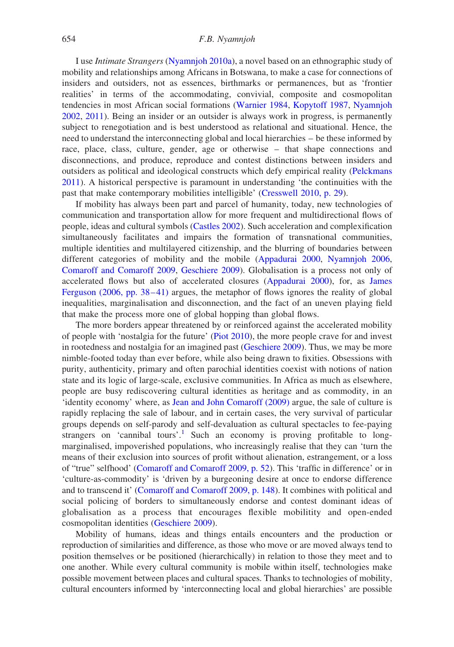I use Intimate Strangers ([Nyamnjoh 2010a\)](#page-27-0), a novel based on an ethnographic study of mobility and relationships among Africans in Botswana, to make a case for connections of insiders and outsiders, not as essences, birthmarks or permanences, but as 'frontier realities' in terms of the accommodating, convivial, composite and cosmopolitan tendencies in most African social formations ([Warnier 1984,](#page-28-1) [Kopytoff 1987](#page-26-0), [Nyamnjoh](#page-27-1) [2002](#page-27-1), [2011\)](#page-27-2). Being an insider or an outsider is always work in progress, is permanently subject to renegotiation and is best understood as relational and situational. Hence, the need to understand the interconnecting global and local hierarchies – be these informed by race, place, class, culture, gender, age or otherwise – that shape connections and disconnections, and produce, reproduce and contest distinctions between insiders and outsiders as political and ideological constructs which defy empirical reality ([Pelckmans](#page-27-3) [2011](#page-27-3)). A historical perspective is paramount in understanding 'the continuities with the past that make contemporary mobilities intelligible' [\(Cresswell 2010, p. 29](#page-25-0)).

If mobility has always been part and parcel of humanity, today, new technologies of communication and transportation allow for more frequent and multidirectional flows of people, ideas and cultural symbols ([Castles 2002\)](#page-24-1). Such acceleration and complexification simultaneously facilitates and impairs the formation of transnational communities, multiple identities and multilayered citizenship, and the blurring of boundaries between different categories of mobility and the mobile [\(Appadurai 2000,](#page-24-2) [Nyamnjoh 2006](#page-27-4), [Comaroff and Comaroff 2009,](#page-25-1) [Geschiere 2009](#page-25-2)). Globalisation is a process not only of accelerated flows but also of accelerated closures ([Appadurai 2000](#page-24-2)), for, as [James](#page-25-3) Ferguson (2006, pp. 38–41) argues, the metaphor of flows ignores the reality of global inequalities, marginalisation and disconnection, and the fact of an uneven playing field that make the process more one of global hopping than global flows.

The more borders appear threatened by or reinforced against the accelerated mobility of people with 'nostalgia for the future' [\(Piot 2010\)](#page-27-5), the more people crave for and invest in rootedness and nostalgia for an imagined past ([Geschiere 2009](#page-25-2)). Thus, we may be more nimble-footed today than ever before, while also being drawn to fixities. Obsessions with purity, authenticity, primary and often parochial identities coexist with notions of nation state and its logic of large-scale, exclusive communities. In Africa as much as elsewhere, people are busy rediscovering cultural identities as heritage and as commodity, in an 'identity economy' where, as [Jean and John Comaroff \(2009\)](#page-25-1) argue, the sale of culture is rapidly replacing the sale of labour, and in certain cases, the very survival of particular groups depends on self-parody and self-devaluation as cultural spectacles to fee-paying strangers on 'cannibal tours'.<sup>[1](#page-23-0)</sup> Such an economy is proving profitable to longmarginalised, impoverished populations, who increasingly realise that they can 'turn the means of their exclusion into sources of profit without alienation, estrangement, or a loss of "true" selfhood' [\(Comaroff and Comaroff 2009, p. 52\)](#page-25-1). This 'traffic in difference' or in 'culture-as-commodity' is 'driven by a burgeoning desire at once to endorse difference and to transcend it' ([Comaroff and Comaroff 2009, p. 148\)](#page-25-1). It combines with political and social policing of borders to simultaneously endorse and contest dominant ideas of globalisation as a process that encourages flexible mobilitity and open-ended cosmopolitan identities [\(Geschiere 2009](#page-25-2)).

Mobility of humans, ideas and things entails encounters and the production or reproduction of similarities and difference, as those who move or are moved always tend to position themselves or be positioned (hierarchically) in relation to those they meet and to one another. While every cultural community is mobile within itself, technologies make possible movement between places and cultural spaces. Thanks to technologies of mobility, cultural encounters informed by 'interconnecting local and global hierarchies' are possible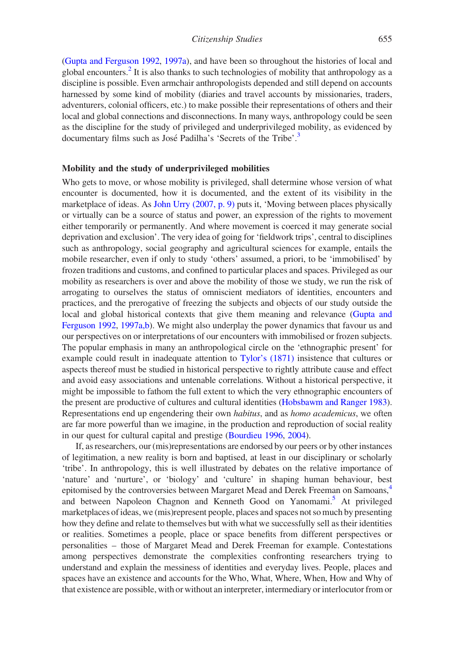([Gupta and Ferguson 1992](#page-26-1), [1997a](#page-26-2)), and have been so throughout the histories of local and global encounters.<sup>2</sup> It is also thanks to such technologies of mobility that anthropology as a discipline is possible. Even armchair anthropologists depended and still depend on accounts harnessed by some kind of mobility (diaries and travel accounts by missionaries, traders, adventurers, colonial officers, etc.) to make possible their representations of others and their local and global connections and disconnections. In many ways, anthropology could be seen as the discipline for the study of privileged and underprivileged mobility, as evidenced by documentary films such as José Padilha's 'Secrets of the Tribe'.<sup>3</sup>

#### Mobility and the study of underprivileged mobilities

Who gets to move, or whose mobility is privileged, shall determine whose version of what encounter is documented, how it is documented, and the extent of its visibility in the marketplace of ideas. As [John Urry \(2007, p. 9\)](#page-28-2) puts it, 'Moving between places physically or virtually can be a source of status and power, an expression of the rights to movement either temporarily or permanently. And where movement is coerced it may generate social deprivation and exclusion'. The very idea of going for 'fieldwork trips', central to disciplines such as anthropology, social geography and agricultural sciences for example, entails the mobile researcher, even if only to study 'others' assumed, a priori, to be 'immobilised' by frozen traditions and customs, and confined to particular places and spaces. Privileged as our mobility as researchers is over and above the mobility of those we study, we run the risk of arrogating to ourselves the status of omniscient mediators of identities, encounters and practices, and the prerogative of freezing the subjects and objects of our study outside the local and global historical contexts that give them meaning and relevance [\(Gupta and](#page-26-1) [Ferguson 1992,](#page-26-1) [1997a,b](#page-26-2)). We might also underplay the power dynamics that favour us and our perspectives on or interpretations of our encounters with immobilised or frozen subjects. The popular emphasis in many an anthropological circle on the 'ethnographic present' for example could result in inadequate attention to [Tylor's \(1871\)](#page-28-3) insistence that cultures or aspects thereof must be studied in historical perspective to rightly attribute cause and effect and avoid easy associations and untenable correlations. Without a historical perspective, it might be impossible to fathom the full extent to which the very ethnographic encounters of the present are productive of cultures and cultural identities [\(Hobsbawm and Ranger 1983](#page-26-3)). Representations end up engendering their own habitus, and as homo academicus, we often are far more powerful than we imagine, in the production and reproduction of social reality in our quest for cultural capital and prestige [\(Bourdieu 1996](#page-24-3), [2004\)](#page-24-4).

If, as researchers, our (mis)representations are endorsed by our peers or by other instances of legitimation, a new reality is born and baptised, at least in our disciplinary or scholarly 'tribe'. In anthropology, this is well illustrated by debates on the relative importance of 'nature' and 'nurture', or 'biology' and 'culture' in shaping human behaviour, best epitomised by the controversies between Margaret Mead and Derek Freeman on Samoans,<sup>4</sup> and between Napoleon Chagnon and Kenneth Good on Yanomami.<sup>[5](#page-23-4)</sup> At privileged marketplaces of ideas, we (mis)represent people, places and spaces not so much by presenting how they define and relate to themselves but with what we successfully sell as their identities or realities. Sometimes a people, place or space benefits from different perspectives or personalities – those of Margaret Mead and Derek Freeman for example. Contestations among perspectives demonstrate the complexities confronting researchers trying to understand and explain the messiness of identities and everyday lives. People, places and spaces have an existence and accounts for the Who, What, Where, When, How and Why of that existence are possible, with or without an interpreter, intermediary or interlocutor from or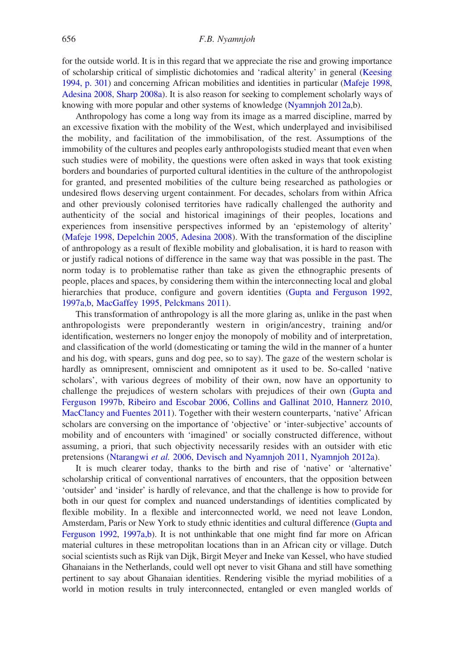for the outside world. It is in this regard that we appreciate the rise and growing importance of scholarship critical of simplistic dichotomies and 'radical alterity' in general ([Keesing](#page-26-4) [1994, p. 301](#page-26-4)) and concerning African mobilities and identities in particular [\(Mafeje 1998](#page-26-5), [Adesina 2008,](#page-24-5) [Sharp 2008a\)](#page-27-6). It is also reason for seeking to complement scholarly ways of knowing with more popular and other systems of knowledge ([Nyamnjoh 2012a,](#page-27-7)b).

Anthropology has come a long way from its image as a marred discipline, marred by an excessive fixation with the mobility of the West, which underplayed and invisibilised the mobility, and facilitation of the immobilisation, of the rest. Assumptions of the immobility of the cultures and peoples early anthropologists studied meant that even when such studies were of mobility, the questions were often asked in ways that took existing borders and boundaries of purported cultural identities in the culture of the anthropologist for granted, and presented mobilities of the culture being researched as pathologies or undesired flows deserving urgent containment. For decades, scholars from within Africa and other previously colonised territories have radically challenged the authority and authenticity of the social and historical imaginings of their peoples, locations and experiences from insensitive perspectives informed by an 'epistemology of alterity' ([Mafeje 1998,](#page-26-5) [Depelchin 2005](#page-25-4), [Adesina 2008](#page-24-5)). With the transformation of the discipline of anthropology as a result of flexible mobility and globalisation, it is hard to reason with or justify radical notions of difference in the same way that was possible in the past. The norm today is to problematise rather than take as given the ethnographic presents of people, places and spaces, by considering them within the interconnecting local and global hierarchies that produce, configure and govern identities ([Gupta and Ferguson 1992](#page-26-1), [1997a,b](#page-26-2), [MacGaffey 1995](#page-26-6), [Pelckmans 2011\)](#page-27-3).

This transformation of anthropology is all the more glaring as, unlike in the past when anthropologists were preponderantly western in origin/ancestry, training and/or identification, westerners no longer enjoy the monopoly of mobility and of interpretation, and classification of the world (domesticating or taming the wild in the manner of a hunter and his dog, with spears, guns and dog pee, so to say). The gaze of the western scholar is hardly as omnipresent, omniscient and omnipotent as it used to be. So-called 'native scholars', with various degrees of mobility of their own, now have an opportunity to challenge the prejudices of western scholars with prejudices of their own ([Gupta and](#page-26-7) [Ferguson 1997b](#page-26-7), [Ribeiro and Escobar 2006,](#page-27-8) [Collins and Gallinat 2010,](#page-25-5) [Hannerz 2010](#page-26-8), [MacClancy and Fuentes 2011](#page-26-9)). Together with their western counterparts, 'native' African scholars are conversing on the importance of 'objective' or 'inter-subjective' accounts of mobility and of encounters with 'imagined' or socially constructed difference, without assuming, a priori, that such objectivity necessarily resides with an outsider with etic pretensions [\(Ntarangwi](#page-27-9) et al. 2006, [Devisch and Nyamnjoh 2011,](#page-25-6) [Nyamnjoh 2012a\)](#page-27-7).

It is much clearer today, thanks to the birth and rise of 'native' or 'alternative' scholarship critical of conventional narratives of encounters, that the opposition between 'outsider' and 'insider' is hardly of relevance, and that the challenge is how to provide for both in our quest for complex and nuanced understandings of identities complicated by flexible mobility. In a flexible and interconnected world, we need not leave London, Amsterdam, Paris or New York to study ethnic identities and cultural difference [\(Gupta and](#page-26-1) [Ferguson 1992](#page-26-1), [1997a,b\)](#page-26-2). It is not unthinkable that one might find far more on African material cultures in these metropolitan locations than in an African city or village. Dutch social scientists such as Rijk van Dijk, Birgit Meyer and Ineke van Kessel, who have studied Ghanaians in the Netherlands, could well opt never to visit Ghana and still have something pertinent to say about Ghanaian identities. Rendering visible the myriad mobilities of a world in motion results in truly interconnected, entangled or even mangled worlds of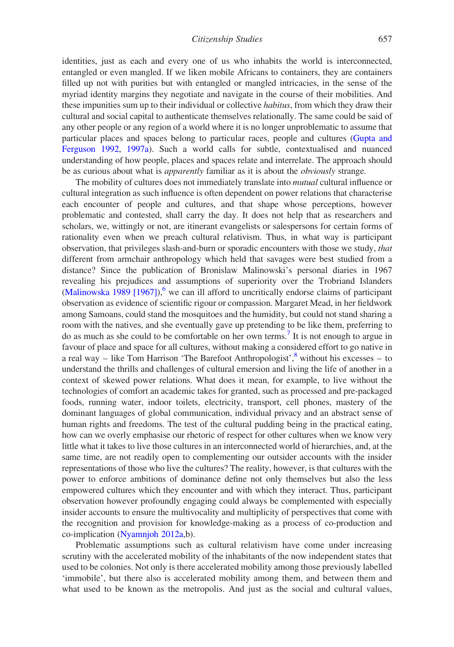identities, just as each and every one of us who inhabits the world is interconnected, entangled or even mangled. If we liken mobile Africans to containers, they are containers filled up not with purities but with entangled or mangled intricacies, in the sense of the myriad identity margins they negotiate and navigate in the course of their mobilities. And these impunities sum up to their individual or collective *habitus*, from which they draw their cultural and social capital to authenticate themselves relationally. The same could be said of any other people or any region of a world where it is no longer unproblematic to assume that particular places and spaces belong to particular races, people and cultures ([Gupta and](#page-26-1) [Ferguson 1992](#page-26-1), [1997a](#page-26-2)). Such a world calls for subtle, contextualised and nuanced understanding of how people, places and spaces relate and interrelate. The approach should be as curious about what is *apparently* familiar as it is about the *obviously* strange.

The mobility of cultures does not immediately translate into *mutual* cultural influence or cultural integration as such influence is often dependent on power relations that characterise each encounter of people and cultures, and that shape whose perceptions, however problematic and contested, shall carry the day. It does not help that as researchers and scholars, we, wittingly or not, are itinerant evangelists or salespersons for certain forms of rationality even when we preach cultural relativism. Thus, in what way is participant observation, that privileges slash-and-burn or sporadic encounters with those we study, that different from armchair anthropology which held that savages were best studied from a distance? Since the publication of Bronislaw Malinowski's personal diaries in 1967 revealing his prejudices and assumptions of superiority over the Trobriand Islanders (Malinowska 1989  $[1967]$ ),<sup>6</sup> we can ill afford to uncritically endorse claims of participant observation as evidence of scientific rigour or compassion. Margaret Mead, in her fieldwork among Samoans, could stand the mosquitoes and the humidity, but could not stand sharing a room with the natives, and she eventually gave up pretending to be like them, preferring to do as much as she could to be comfortable on her own terms.<sup>[7](#page-23-6)</sup> It is not enough to argue in favour of place and space for all cultures, without making a considered effort to go native in a real way – like Tom Harrison 'The Barefoot Anthropologist',  $\frac{8}{3}$  without his excesses – to understand the thrills and challenges of cultural emersion and living the life of another in a context of skewed power relations. What does it mean, for example, to live without the technologies of comfort an academic takes for granted, such as processed and pre-packaged foods, running water, indoor toilets, electricity, transport, cell phones, mastery of the dominant languages of global communication, individual privacy and an abstract sense of human rights and freedoms. The test of the cultural pudding being in the practical eating, how can we overly emphasise our rhetoric of respect for other cultures when we know very little what it takes to live those cultures in an interconnected world of hierarchies, and, at the same time, are not readily open to complementing our outsider accounts with the insider representations of those who live the cultures? The reality, however, is that cultures with the power to enforce ambitions of dominance define not only themselves but also the less empowered cultures which they encounter and with which they interact. Thus, participant observation however profoundly engaging could always be complemented with especially insider accounts to ensure the multivocality and multiplicity of perspectives that come with the recognition and provision for knowledge-making as a process of co-production and co-implication ([Nyamnjoh 2012a,](#page-27-7)b).

Problematic assumptions such as cultural relativism have come under increasing scrutiny with the accelerated mobility of the inhabitants of the now independent states that used to be colonies. Not only is there accelerated mobility among those previously labelled 'immobile', but there also is accelerated mobility among them, and between them and what used to be known as the metropolis. And just as the social and cultural values,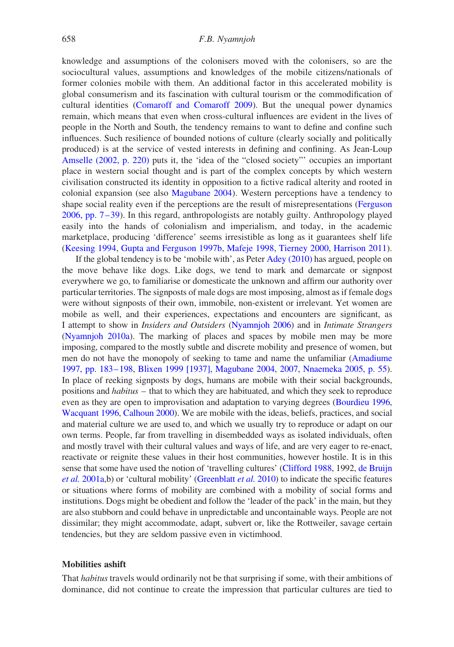knowledge and assumptions of the colonisers moved with the colonisers, so are the sociocultural values, assumptions and knowledges of the mobile citizens/nationals of former colonies mobile with them. An additional factor in this accelerated mobility is global consumerism and its fascination with cultural tourism or the commodification of cultural identities ([Comaroff and Comaroff 2009](#page-25-1)). But the unequal power dynamics remain, which means that even when cross-cultural influences are evident in the lives of people in the North and South, the tendency remains to want to define and confine such influences. Such resilience of bounded notions of culture (clearly socially and politically produced) is at the service of vested interests in defining and confining. As Jean-Loup [Amselle \(2002, p. 220\)](#page-24-6) puts it, the 'idea of the "closed society"' occupies an important place in western social thought and is part of the complex concepts by which western civilisation constructed its identity in opposition to a fictive radical alterity and rooted in colonial expansion (see also [Magubane 2004](#page-26-11)). Western perceptions have a tendency to shape social reality even if the perceptions are the result of misrepresentations ([Ferguson](#page-25-3) [2006, pp. 7 –39](#page-25-3)). In this regard, anthropologists are notably guilty. Anthropology played easily into the hands of colonialism and imperialism, and today, in the academic marketplace, producing 'difference' seems irresistible as long as it guarantees shelf life ([Keesing 1994](#page-26-4), [Gupta and Ferguson 1997b](#page-26-7), [Mafeje 1998,](#page-26-5) [Tierney 2000,](#page-28-4) [Harrison 2011](#page-26-12)).

If the global tendency is to be 'mobile with', as Peter [Adey \(2010\)](#page-24-7) has argued, people on the move behave like dogs. Like dogs, we tend to mark and demarcate or signpost everywhere we go, to familiarise or domesticate the unknown and affirm our authority over particular territories. The signposts of male dogs are most imposing, almost as if female dogs were without signposts of their own, immobile, non-existent or irrelevant. Yet women are mobile as well, and their experiences, expectations and encounters are significant, as I attempt to show in Insiders and Outsiders ([Nyamnjoh 2006](#page-27-4)) and in Intimate Strangers ([Nyamnjoh 2010a\)](#page-27-0). The marking of places and spaces by mobile men may be more imposing, compared to the mostly subtle and discrete mobility and presence of women, but men do not have the monopoly of seeking to tame and name the unfamiliar [\(Amadiume](#page-24-8) [1997, pp. 183–198](#page-24-8), [Blixen 1999 \[1937\]](#page-24-9), [Magubane 2004](#page-26-11), [2007,](#page-26-13) [Nnaemeka 2005, p. 55](#page-27-10)). In place of reeking signposts by dogs, humans are mobile with their social backgrounds, positions and habitus – that to which they are habituated, and which they seek to reproduce even as they are open to improvisation and adaptation to varying degrees ([Bourdieu 1996](#page-24-3), [Wacquant 1996](#page-28-5), [Calhoun 2000](#page-24-10)). We are mobile with the ideas, beliefs, practices, and social and material culture we are used to, and which we usually try to reproduce or adapt on our own terms. People, far from travelling in disembedded ways as isolated individuals, often and mostly travel with their cultural values and ways of life, and are very eager to re-enact, reactivate or reignite these values in their host communities, however hostile. It is in this sense that some have used the notion of 'travelling cultures' ([Clifford 1988](#page-25-7), 1992, [de Bruijn](#page-25-8) et al. [2001a](#page-25-8),b) or 'cultural mobility' [\(Greenblatt](#page-25-9) et al. 2010) to indicate the specific features or situations where forms of mobility are combined with a mobility of social forms and institutions. Dogs might be obedient and follow the 'leader of the pack' in the main, but they are also stubborn and could behave in unpredictable and uncontainable ways. People are not dissimilar; they might accommodate, adapt, subvert or, like the Rottweiler, savage certain tendencies, but they are seldom passive even in victimhood.

#### Mobilities ashift

That habitus travels would ordinarily not be that surprising if some, with their ambitions of dominance, did not continue to create the impression that particular cultures are tied to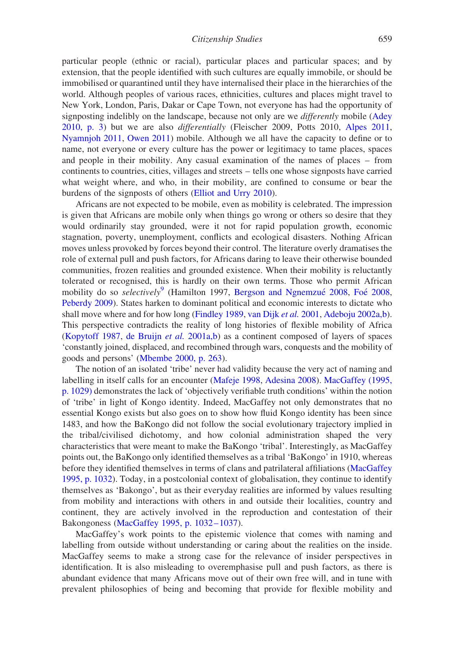particular people (ethnic or racial), particular places and particular spaces; and by extension, that the people identified with such cultures are equally immobile, or should be immobilised or quarantined until they have internalised their place in the hierarchies of the world. Although peoples of various races, ethnicities, cultures and places might travel to New York, London, Paris, Dakar or Cape Town, not everyone has had the opportunity of signposting indelibly on the landscape, because not only are we *differently* mobile [\(Adey](#page-24-7) [2010, p. 3](#page-24-7)) but we are also differentially (Fleischer 2009, Potts 2010, [Alpes 2011](#page-24-11), [Nyamnjoh 2011,](#page-27-2) [Owen 2011](#page-27-11)) mobile. Although we all have the capacity to define or to name, not everyone or every culture has the power or legitimacy to tame places, spaces and people in their mobility. Any casual examination of the names of places – from continents to countries, cities, villages and streets – tells one whose signposts have carried what weight where, and who, in their mobility, are confined to consume or bear the burdens of the signposts of others ([Elliot and Urry 2010](#page-25-10)).

Africans are not expected to be mobile, even as mobility is celebrated. The impression is given that Africans are mobile only when things go wrong or others so desire that they would ordinarily stay grounded, were it not for rapid population growth, economic stagnation, poverty, unemployment, conflicts and ecological disasters. Nothing African moves unless provoked by forces beyond their control. The literature overly dramatises the role of external pull and push factors, for Africans daring to leave their otherwise bounded communities, frozen realities and grounded existence. When their mobility is reluctantly tolerated or recognised, this is hardly on their own terms. Those who permit African mobility do so *selectively*<sup>[9](#page-23-8)</sup> (Hamilton 1997, Bergson and Ngnemzué [2008](#page-25-11), Foe<sup> $\geq$ </sup> 2008, [Peberdy 2009\)](#page-27-12). States harken to dominant political and economic interests to dictate who shall move where and for how long ([Findley 1989](#page-25-12), [van Dijk](#page-28-6) et al. 2001, [Adeboju 2002a,b](#page-24-13)). This perspective contradicts the reality of long histories of flexible mobility of Africa ([Kopytoff 1987,](#page-26-0) [de Bruijn](#page-25-8) et al. 2001a,b) as a continent composed of layers of spaces 'constantly joined, displaced, and recombined through wars, conquests and the mobility of goods and persons' ([Mbembe 2000, p. 263](#page-26-14)).

The notion of an isolated 'tribe' never had validity because the very act of naming and labelling in itself calls for an encounter ([Mafeje 1998,](#page-26-5) [Adesina 2008](#page-24-5)). [MacGaffey \(1995,](#page-26-6) [p. 1029\)](#page-26-6) demonstrates the lack of 'objectively verifiable truth conditions' within the notion of 'tribe' in light of Kongo identity. Indeed, MacGaffey not only demonstrates that no essential Kongo exists but also goes on to show how fluid Kongo identity has been since 1483, and how the BaKongo did not follow the social evolutionary trajectory implied in the tribal/civilised dichotomy, and how colonial administration shaped the very characteristics that were meant to make the BaKongo 'tribal'. Interestingly, as MacGaffey points out, the BaKongo only identified themselves as a tribal 'BaKongo' in 1910, whereas before they identified themselves in terms of clans and patrilateral affiliations [\(MacGaffey](#page-26-6) [1995, p. 1032\)](#page-26-6). Today, in a postcolonial context of globalisation, they continue to identify themselves as 'Bakongo', but as their everyday realities are informed by values resulting from mobility and interactions with others in and outside their localities, country and continent, they are actively involved in the reproduction and contestation of their Bakongoness (MacGaffey 1995, p. 1032–1037).

MacGaffey's work points to the epistemic violence that comes with naming and labelling from outside without understanding or caring about the realities on the inside. MacGaffey seems to make a strong case for the relevance of insider perspectives in identification. It is also misleading to overemphasise pull and push factors, as there is abundant evidence that many Africans move out of their own free will, and in tune with prevalent philosophies of being and becoming that provide for flexible mobility and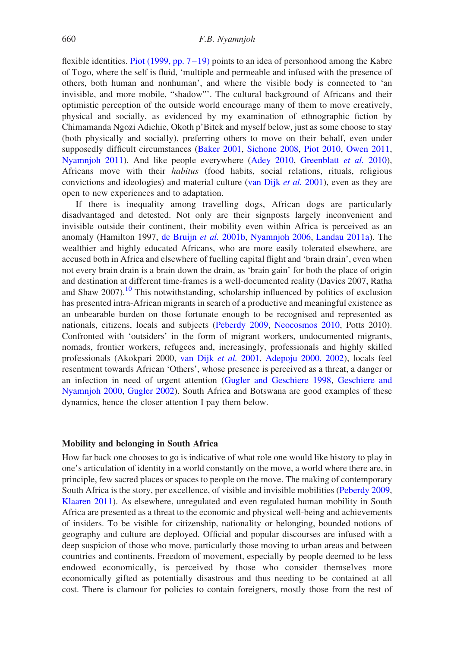flexible identities. Piot (1999, pp. 7–19) points to an idea of personhood among the Kabre of Togo, where the self is fluid, 'multiple and permeable and infused with the presence of others, both human and nonhuman', and where the visible body is connected to 'an invisible, and more mobile, "shadow"'. The cultural background of Africans and their optimistic perception of the outside world encourage many of them to move creatively, physical and socially, as evidenced by my examination of ethnographic fiction by Chimamanda Ngozi Adichie, Okoth p'Bitek and myself below, just as some choose to stay (both physically and socially), preferring others to move on their behalf, even under supposedly difficult circumstances ([Baker 2001](#page-24-14), [Sichone 2008](#page-28-7), [Piot 2010,](#page-27-5) [Owen 2011](#page-27-11), [Nyamnjoh 2011](#page-27-2)). And like people everywhere ([Adey 2010,](#page-24-7) [Greenblatt](#page-25-9) et al. 2010), Africans move with their habitus (food habits, social relations, rituals, religious convictions and ideologies) and material culture [\(van Dijk](#page-28-6) *et al.* 2001), even as they are open to new experiences and to adaptation.

If there is inequality among travelling dogs, African dogs are particularly disadvantaged and detested. Not only are their signposts largely inconvenient and invisible outside their continent, their mobility even within Africa is perceived as an anomaly (Hamilton 1997, [de Bruijn](#page-25-13) et al. 2001b, [Nyamnjoh 2006,](#page-27-4) [Landau 2011a](#page-26-15)). The wealthier and highly educated Africans, who are more easily tolerated elsewhere, are accused both in Africa and elsewhere of fuelling capital flight and 'brain drain', even when not every brain drain is a brain down the drain, as 'brain gain' for both the place of origin and destination at different time-frames is a well-documented reality (Davies 2007, Ratha and Shaw 2007).<sup>[10](#page-24-15)</sup> This notwithstanding, scholarship influenced by politics of exclusion has presented intra-African migrants in search of a productive and meaningful existence as an unbearable burden on those fortunate enough to be recognised and represented as nationals, citizens, locals and subjects [\(Peberdy 2009](#page-27-12), [Neocosmos 2010](#page-27-14), Potts 2010). Confronted with 'outsiders' in the form of migrant workers, undocumented migrants, nomads, frontier workers, refugees and, increasingly, professionals and highly skilled professionals (Akokpari 2000, [van Dijk](#page-28-6) et al. 2001, [Adepoju 2000, 2002](#page-24-13)), locals feel resentment towards African 'Others', whose presence is perceived as a threat, a danger or an infection in need of urgent attention ([Gugler and Geschiere 1998,](#page-25-14) [Geschiere and](#page-25-15) [Nyamnjoh 2000,](#page-25-15) [Gugler 2002](#page-25-16)). South Africa and Botswana are good examples of these dynamics, hence the closer attention I pay them below.

#### Mobility and belonging in South Africa

How far back one chooses to go is indicative of what role one would like history to play in one's articulation of identity in a world constantly on the move, a world where there are, in principle, few sacred places or spaces to people on the move. The making of contemporary South Africa is the story, per excellence, of visible and invisible mobilities ([Peberdy 2009](#page-27-12), [Klaaren 2011](#page-26-16)). As elsewhere, unregulated and even regulated human mobility in South Africa are presented as a threat to the economic and physical well-being and achievements of insiders. To be visible for citizenship, nationality or belonging, bounded notions of geography and culture are deployed. Official and popular discourses are infused with a deep suspicion of those who move, particularly those moving to urban areas and between countries and continents. Freedom of movement, especially by people deemed to be less endowed economically, is perceived by those who consider themselves more economically gifted as potentially disastrous and thus needing to be contained at all cost. There is clamour for policies to contain foreigners, mostly those from the rest of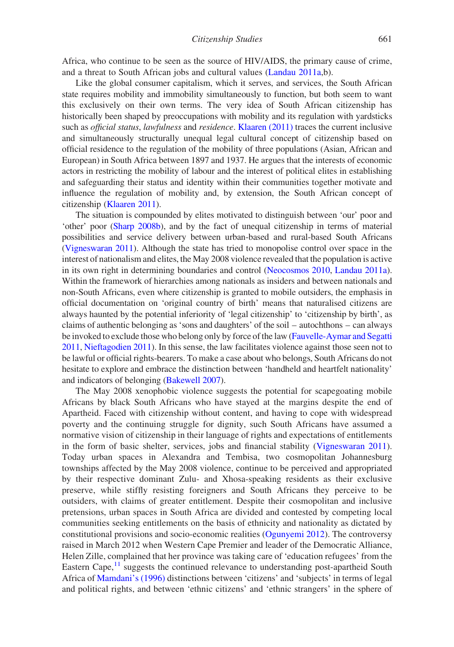Africa, who continue to be seen as the source of HIV/AIDS, the primary cause of crime, and a threat to South African jobs and cultural values [\(Landau 2011a,](#page-26-15)b).

Like the global consumer capitalism, which it serves, and services, the South African state requires mobility and immobility simultaneously to function, but both seem to want this exclusively on their own terms. The very idea of South African citizenship has historically been shaped by preoccupations with mobility and its regulation with yardsticks such as *official status, lawfulness* and *residence*. [Klaaren \(2011\)](#page-26-16) traces the current inclusive and simultaneously structurally unequal legal cultural concept of citizenship based on official residence to the regulation of the mobility of three populations (Asian, African and European) in South Africa between 1897 and 1937. He argues that the interests of economic actors in restricting the mobility of labour and the interest of political elites in establishing and safeguarding their status and identity within their communities together motivate and influence the regulation of mobility and, by extension, the South African concept of citizenship ([Klaaren 2011](#page-26-16)).

The situation is compounded by elites motivated to distinguish between 'our' poor and 'other' poor [\(Sharp 2008b](#page-27-15)), and by the fact of unequal citizenship in terms of material possibilities and service delivery between urban-based and rural-based South Africans ([Vigneswaran 2011\)](#page-28-8). Although the state has tried to monopolise control over space in the interest of nationalism and elites, the May 2008 violence revealed that the population is active in its own right in determining boundaries and control [\(Neocosmos 2010](#page-27-14), [Landau 2011a](#page-26-15)). Within the framework of hierarchies among nationals as insiders and between nationals and non-South Africans, even where citizenship is granted to mobile outsiders, the emphasis in official documentation on 'original country of birth' means that naturalised citizens are always haunted by the potential inferiority of 'legal citizenship' to 'citizenship by birth', as claims of authentic belonging as 'sons and daughters' of the soil – autochthons – can always be invoked to exclude those who belong only by force of the law ([Fauvelle-Aymar and Segatti](#page-25-17) [2011,](#page-25-17) [Nieftagodien 2011](#page-27-16)). In this sense, the law facilitates violence against those seen not to be lawful or official rights-bearers. To make a case about who belongs, South Africans do not hesitate to explore and embrace the distinction between 'handheld and heartfelt nationality' and indicators of belonging [\(Bakewell 2007\)](#page-24-16).

The May 2008 xenophobic violence suggests the potential for scapegoating mobile Africans by black South Africans who have stayed at the margins despite the end of Apartheid. Faced with citizenship without content, and having to cope with widespread poverty and the continuing struggle for dignity, such South Africans have assumed a normative vision of citizenship in their language of rights and expectations of entitlements in the form of basic shelter, services, jobs and financial stability ([Vigneswaran 2011](#page-28-8)). Today urban spaces in Alexandra and Tembisa, two cosmopolitan Johannesburg townships affected by the May 2008 violence, continue to be perceived and appropriated by their respective dominant Zulu- and Xhosa-speaking residents as their exclusive preserve, while stiffly resisting foreigners and South Africans they perceive to be outsiders, with claims of greater entitlement. Despite their cosmopolitan and inclusive pretensions, urban spaces in South Africa are divided and contested by competing local communities seeking entitlements on the basis of ethnicity and nationality as dictated by constitutional provisions and socio-economic realities [\(Ogunyemi 2012\)](#page-27-17). The controversy raised in March 2012 when Western Cape Premier and leader of the Democratic Alliance, Helen Zille, complained that her province was taking care of 'education refugees' from the Eastern Cape, $<sup>11</sup>$  $<sup>11</sup>$  $<sup>11</sup>$  suggests the continued relevance to understanding post-apartheid South</sup> Africa of [Mamdani's \(1996\)](#page-26-17) distinctions between 'citizens' and 'subjects' in terms of legal and political rights, and between 'ethnic citizens' and 'ethnic strangers' in the sphere of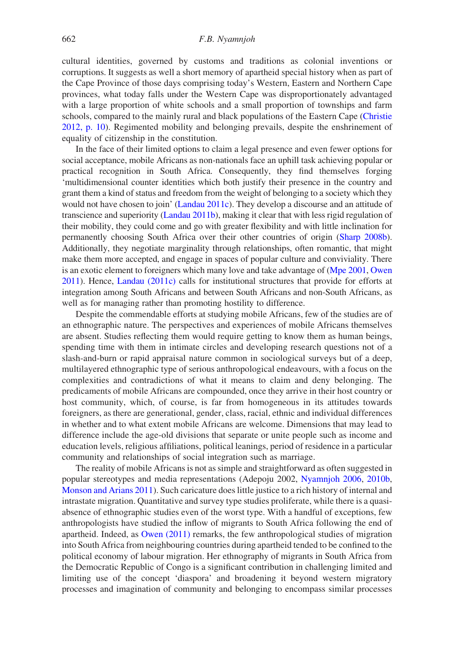cultural identities, governed by customs and traditions as colonial inventions or corruptions. It suggests as well a short memory of apartheid special history when as part of the Cape Province of those days comprising today's Western, Eastern and Northern Cape provinces, what today falls under the Western Cape was disproportionately advantaged with a large proportion of white schools and a small proportion of townships and farm schools, compared to the mainly rural and black populations of the Eastern Cape [\(Christie](#page-25-18) [2012, p. 10](#page-25-18)). Regimented mobility and belonging prevails, despite the enshrinement of equality of citizenship in the constitution.

In the face of their limited options to claim a legal presence and even fewer options for social acceptance, mobile Africans as non-nationals face an uphill task achieving popular or practical recognition in South Africa. Consequently, they find themselves forging 'multidimensional counter identities which both justify their presence in the country and grant them a kind of status and freedom from the weight of belonging to a society which they would not have chosen to join' [\(Landau 2011c\)](#page-26-18). They develop a discourse and an attitude of transcience and superiority ([Landau 2011b\)](#page-26-19), making it clear that with less rigid regulation of their mobility, they could come and go with greater flexibility and with little inclination for permanently choosing South Africa over their other countries of origin ([Sharp 2008b](#page-27-15)). Additionally, they negotiate marginality through relationships, often romantic, that might make them more accepted, and engage in spaces of popular culture and conviviality. There is an exotic element to foreigners which many love and take advantage of [\(Mpe 2001,](#page-26-20) [Owen](#page-27-11) [2011\)](#page-27-11). Hence, [Landau \(2011c\)](#page-26-18) calls for institutional structures that provide for efforts at integration among South Africans and between South Africans and non-South Africans, as well as for managing rather than promoting hostility to difference.

Despite the commendable efforts at studying mobile Africans, few of the studies are of an ethnographic nature. The perspectives and experiences of mobile Africans themselves are absent. Studies reflecting them would require getting to know them as human beings, spending time with them in intimate circles and developing research questions not of a slash-and-burn or rapid appraisal nature common in sociological surveys but of a deep, multilayered ethnographic type of serious anthropological endeavours, with a focus on the complexities and contradictions of what it means to claim and deny belonging. The predicaments of mobile Africans are compounded, once they arrive in their host country or host community, which, of course, is far from homogeneous in its attitudes towards foreigners, as there are generational, gender, class, racial, ethnic and individual differences in whether and to what extent mobile Africans are welcome. Dimensions that may lead to difference include the age-old divisions that separate or unite people such as income and education levels, religious affiliations, political leanings, period of residence in a particular community and relationships of social integration such as marriage.

The reality of mobile Africans is not as simple and straightforward as often suggested in popular stereotypes and media representations (Adepoju 2002, [Nyamnjoh 2006,](#page-27-4) [2010b](#page-27-18), [Monson and Arians 2011](#page-26-21)). Such caricature does little justice to a rich history of internal and intrastate migration. Quantitative and survey type studies proliferate, while there is a quasiabsence of ethnographic studies even of the worst type. With a handful of exceptions, few anthropologists have studied the inflow of migrants to South Africa following the end of apartheid. Indeed, as [Owen \(2011\)](#page-27-11) remarks, the few anthropological studies of migration into South Africa from neighbouring countries during apartheid tended to be confined to the political economy of labour migration. Her ethnography of migrants in South Africa from the Democratic Republic of Congo is a significant contribution in challenging limited and limiting use of the concept 'diaspora' and broadening it beyond western migratory processes and imagination of community and belonging to encompass similar processes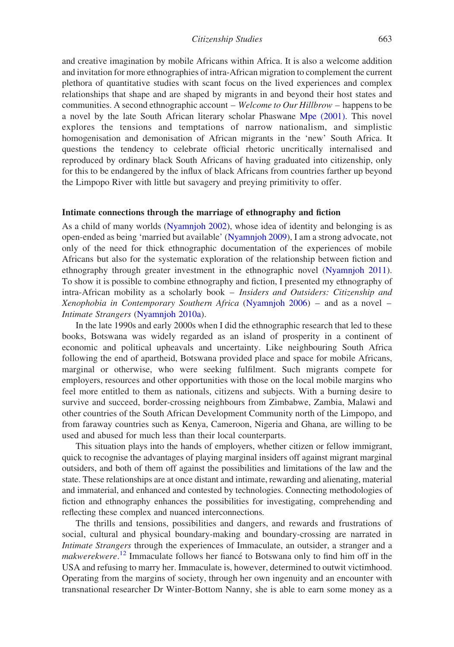and creative imagination by mobile Africans within Africa. It is also a welcome addition and invitation for more ethnographies of intra-African migration to complement the current plethora of quantitative studies with scant focus on the lived experiences and complex relationships that shape and are shaped by migrants in and beyond their host states and communities. A second ethnographic account – Welcome to Our Hillbrow – happens to be a novel by the late South African literary scholar Phaswane [Mpe \(2001\).](#page-26-20) This novel explores the tensions and temptations of narrow nationalism, and simplistic homogenisation and demonisation of African migrants in the 'new' South Africa. It questions the tendency to celebrate official rhetoric uncritically internalised and reproduced by ordinary black South Africans of having graduated into citizenship, only for this to be endangered by the influx of black Africans from countries farther up beyond the Limpopo River with little but savagery and preying primitivity to offer.

#### Intimate connections through the marriage of ethnography and fiction

As a child of many worlds [\(Nyamnjoh 2002](#page-27-1)), whose idea of identity and belonging is as open-ended as being 'married but available' [\(Nyamnjoh 2009\)](#page-27-19), I am a strong advocate, not only of the need for thick ethnographic documentation of the experiences of mobile Africans but also for the systematic exploration of the relationship between fiction and ethnography through greater investment in the ethnographic novel ([Nyamnjoh 2011](#page-27-2)). To show it is possible to combine ethnography and fiction, I presented my ethnography of intra-African mobility as a scholarly book – Insiders and Outsiders: Citizenship and Xenophobia in Contemporary Southern Africa [\(Nyamnjoh 2006\)](#page-27-4) – and as a novel – Intimate Strangers ([Nyamnjoh 2010a](#page-27-0)).

In the late 1990s and early 2000s when I did the ethnographic research that led to these books, Botswana was widely regarded as an island of prosperity in a continent of economic and political upheavals and uncertainty. Like neighbouring South Africa following the end of apartheid, Botswana provided place and space for mobile Africans, marginal or otherwise, who were seeking fulfilment. Such migrants compete for employers, resources and other opportunities with those on the local mobile margins who feel more entitled to them as nationals, citizens and subjects. With a burning desire to survive and succeed, border-crossing neighbours from Zimbabwe, Zambia, Malawi and other countries of the South African Development Community north of the Limpopo, and from faraway countries such as Kenya, Cameroon, Nigeria and Ghana, are willing to be used and abused for much less than their local counterparts.

This situation plays into the hands of employers, whether citizen or fellow immigrant, quick to recognise the advantages of playing marginal insiders off against migrant marginal outsiders, and both of them off against the possibilities and limitations of the law and the state. These relationships are at once distant and intimate, rewarding and alienating, material and immaterial, and enhanced and contested by technologies. Connecting methodologies of fiction and ethnography enhances the possibilities for investigating, comprehending and reflecting these complex and nuanced interconnections.

The thrills and tensions, possibilities and dangers, and rewards and frustrations of social, cultural and physical boundary-making and boundary-crossing are narrated in Intimate Strangers through the experiences of Immaculate, an outsider, a stranger and a makwerekwere.<sup>[12](#page-24-18)</sup> Immaculate follows her fiancé to Botswana only to find him off in the USA and refusing to marry her. Immaculate is, however, determined to outwit victimhood. Operating from the margins of society, through her own ingenuity and an encounter with transnational researcher Dr Winter-Bottom Nanny, she is able to earn some money as a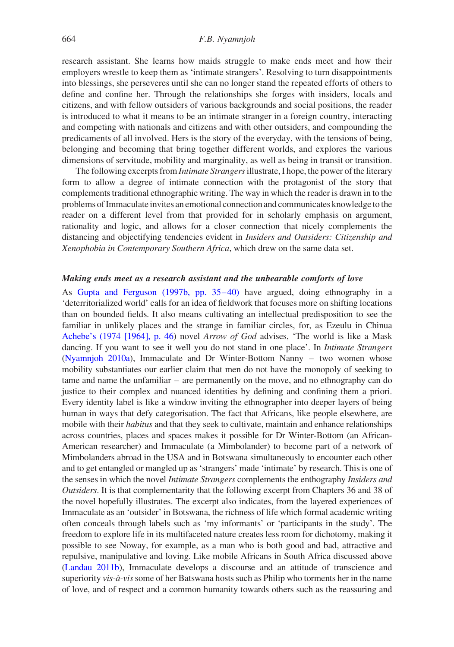research assistant. She learns how maids struggle to make ends meet and how their employers wrestle to keep them as 'intimate strangers'. Resolving to turn disappointments into blessings, she perseveres until she can no longer stand the repeated efforts of others to define and confine her. Through the relationships she forges with insiders, locals and citizens, and with fellow outsiders of various backgrounds and social positions, the reader is introduced to what it means to be an intimate stranger in a foreign country, interacting and competing with nationals and citizens and with other outsiders, and compounding the predicaments of all involved. Hers is the story of the everyday, with the tensions of being, belonging and becoming that bring together different worlds, and explores the various dimensions of servitude, mobility and marginality, as well as being in transit or transition.

The following excerpts from *Intimate Strangers* illustrate, I hope, the power of the literary form to allow a degree of intimate connection with the protagonist of the story that complements traditional ethnographic writing. The way in which the reader is drawn in to the problems of Immaculate invites an emotional connection and communicates knowledge to the reader on a different level from that provided for in scholarly emphasis on argument, rationality and logic, and allows for a closer connection that nicely complements the distancing and objectifying tendencies evident in *Insiders and Outsiders: Citizenship and* Xenophobia in Contemporary Southern Africa, which drew on the same data set.

#### Making ends meet as a research assistant and the unbearable comforts of love

As [Gupta and Ferguson \(1997b, pp. 35–40\)](#page-26-7) have argued, doing ethnography in a 'deterritorialized world' calls for an idea of fieldwork that focuses more on shifting locations than on bounded fields. It also means cultivating an intellectual predisposition to see the familiar in unlikely places and the strange in familiar circles, for, as Ezeulu in Chinua [Achebe's \(1974 \[1964\], p. 46](#page-24-19)) novel Arrow of God advises, 'The world is like a Mask dancing. If you want to see it well you do not stand in one place'. In *Intimate Strangers* ([Nyamnjoh 2010a](#page-27-0)), Immaculate and Dr Winter-Bottom Nanny – two women whose mobility substantiates our earlier claim that men do not have the monopoly of seeking to tame and name the unfamiliar – are permanently on the move, and no ethnography can do justice to their complex and nuanced identities by defining and confining them a priori. Every identity label is like a window inviting the ethnographer into deeper layers of being human in ways that defy categorisation. The fact that Africans, like people elsewhere, are mobile with their *habitus* and that they seek to cultivate, maintain and enhance relationships across countries, places and spaces makes it possible for Dr Winter-Bottom (an African-American researcher) and Immaculate (a Mimbolander) to become part of a network of Mimbolanders abroad in the USA and in Botswana simultaneously to encounter each other and to get entangled or mangled up as 'strangers' made 'intimate' by research. This is one of the senses in which the novel *Intimate Strangers* complements the enthography *Insiders and* Outsiders. It is that complementarity that the following excerpt from Chapters 36 and 38 of the novel hopefully illustrates. The excerpt also indicates, from the layered experiences of Immaculate as an 'outsider' in Botswana, the richness of life which formal academic writing often conceals through labels such as 'my informants' or 'participants in the study'. The freedom to explore life in its multifaceted nature creates less room for dichotomy, making it possible to see Noway, for example, as a man who is both good and bad, attractive and repulsive, manipulative and loving. Like mobile Africans in South Africa discussed above ([Landau 2011b](#page-26-19)), Immaculate develops a discourse and an attitude of transcience and superiority *vis-à-vis* some of her Batswana hosts such as Philip who torments her in the name of love, and of respect and a common humanity towards others such as the reassuring and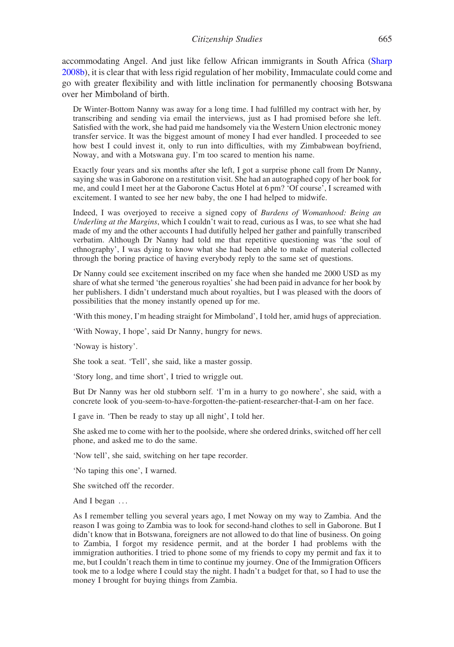accommodating Angel. And just like fellow African immigrants in South Africa [\(Sharp](#page-27-15) [2008b\)](#page-27-15), it is clear that with less rigid regulation of her mobility, Immaculate could come and go with greater flexibility and with little inclination for permanently choosing Botswana over her Mimboland of birth.

Dr Winter-Bottom Nanny was away for a long time. I had fulfilled my contract with her, by transcribing and sending via email the interviews, just as I had promised before she left. Satisfied with the work, she had paid me handsomely via the Western Union electronic money transfer service. It was the biggest amount of money I had ever handled. I proceeded to see how best I could invest it, only to run into difficulties, with my Zimbabwean boyfriend, Noway, and with a Motswana guy. I'm too scared to mention his name.

Exactly four years and six months after she left, I got a surprise phone call from Dr Nanny, saying she was in Gaborone on a restitution visit. She had an autographed copy of her book for me, and could I meet her at the Gaborone Cactus Hotel at 6 pm? 'Of course', I screamed with excitement. I wanted to see her new baby, the one I had helped to midwife.

Indeed, I was overjoyed to receive a signed copy of Burdens of Womanhood: Being an Underling at the Margins, which I couldn't wait to read, curious as I was, to see what she had made of my and the other accounts I had dutifully helped her gather and painfully transcribed verbatim. Although Dr Nanny had told me that repetitive questioning was 'the soul of ethnography', I was dying to know what she had been able to make of material collected through the boring practice of having everybody reply to the same set of questions.

Dr Nanny could see excitement inscribed on my face when she handed me 2000 USD as my share of what she termed 'the generous royalties' she had been paid in advance for her book by her publishers. I didn't understand much about royalties, but I was pleased with the doors of possibilities that the money instantly opened up for me.

'With this money, I'm heading straight for Mimboland', I told her, amid hugs of appreciation.

'With Noway, I hope', said Dr Nanny, hungry for news.

'Noway is history'.

She took a seat. 'Tell', she said, like a master gossip.

'Story long, and time short', I tried to wriggle out.

But Dr Nanny was her old stubborn self. 'I'm in a hurry to go nowhere', she said, with a concrete look of you-seem-to-have-forgotten-the-patient-researcher-that-I-am on her face.

I gave in. 'Then be ready to stay up all night', I told her.

She asked me to come with her to the poolside, where she ordered drinks, switched off her cell phone, and asked me to do the same.

'Now tell', she said, switching on her tape recorder.

'No taping this one', I warned.

She switched off the recorder.

And I began ...

As I remember telling you several years ago, I met Noway on my way to Zambia. And the reason I was going to Zambia was to look for second-hand clothes to sell in Gaborone. But I didn't know that in Botswana, foreigners are not allowed to do that line of business. On going to Zambia, I forgot my residence permit, and at the border I had problems with the immigration authorities. I tried to phone some of my friends to copy my permit and fax it to me, but I couldn't reach them in time to continue my journey. One of the Immigration Officers took me to a lodge where I could stay the night. I hadn't a budget for that, so I had to use the money I brought for buying things from Zambia.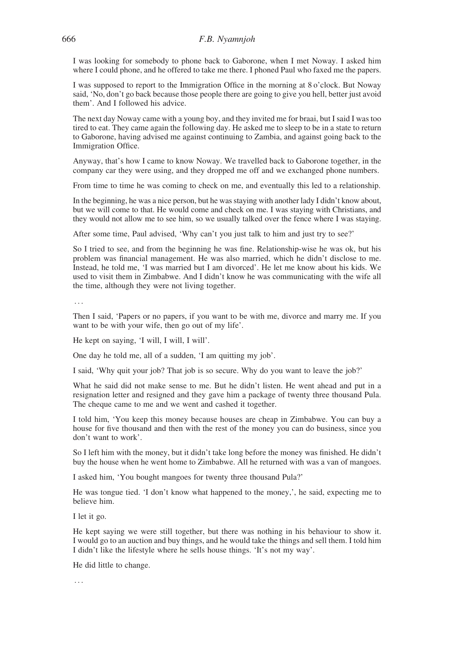I was looking for somebody to phone back to Gaborone, when I met Noway. I asked him where I could phone, and he offered to take me there. I phoned Paul who faxed me the papers.

I was supposed to report to the Immigration Office in the morning at 8 o'clock. But Noway said, 'No, don't go back because those people there are going to give you hell, better just avoid them'. And I followed his advice.

The next day Noway came with a young boy, and they invited me for braai, but I said I was too tired to eat. They came again the following day. He asked me to sleep to be in a state to return to Gaborone, having advised me against continuing to Zambia, and against going back to the Immigration Office.

Anyway, that's how I came to know Noway. We travelled back to Gaborone together, in the company car they were using, and they dropped me off and we exchanged phone numbers.

From time to time he was coming to check on me, and eventually this led to a relationship.

In the beginning, he was a nice person, but he was staying with another lady I didn't know about, but we will come to that. He would come and check on me. I was staying with Christians, and they would not allow me to see him, so we usually talked over the fence where I was staying.

After some time, Paul advised, 'Why can't you just talk to him and just try to see?'

So I tried to see, and from the beginning he was fine. Relationship-wise he was ok, but his problem was financial management. He was also married, which he didn't disclose to me. Instead, he told me, 'I was married but I am divorced'. He let me know about his kids. We used to visit them in Zimbabwe. And I didn't know he was communicating with the wife all the time, although they were not living together.

...

Then I said, 'Papers or no papers, if you want to be with me, divorce and marry me. If you want to be with your wife, then go out of my life'.

He kept on saying, 'I will, I will, I will'.

One day he told me, all of a sudden, 'I am quitting my job'.

I said, 'Why quit your job? That job is so secure. Why do you want to leave the job?'

What he said did not make sense to me. But he didn't listen. He went ahead and put in a resignation letter and resigned and they gave him a package of twenty three thousand Pula. The cheque came to me and we went and cashed it together.

I told him, 'You keep this money because houses are cheap in Zimbabwe. You can buy a house for five thousand and then with the rest of the money you can do business, since you don't want to work'.

So I left him with the money, but it didn't take long before the money was finished. He didn't buy the house when he went home to Zimbabwe. All he returned with was a van of mangoes.

I asked him, 'You bought mangoes for twenty three thousand Pula?'

He was tongue tied. 'I don't know what happened to the money,', he said, expecting me to believe him.

I let it go.

He kept saying we were still together, but there was nothing in his behaviour to show it. I would go to an auction and buy things, and he would take the things and sell them. I told him I didn't like the lifestyle where he sells house things. 'It's not my way'.

He did little to change.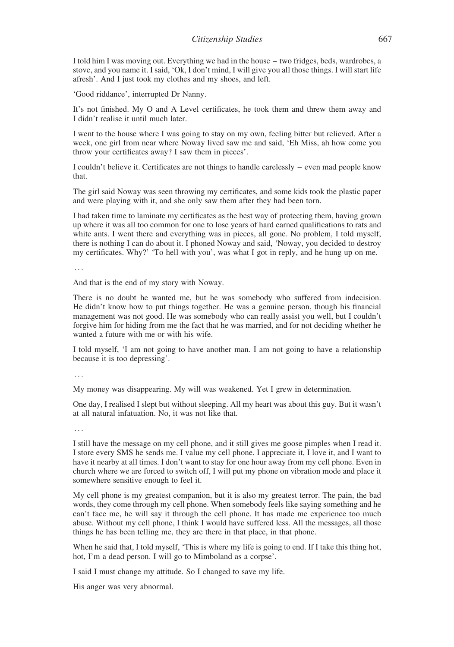I told him I was moving out. Everything we had in the house – two fridges, beds, wardrobes, a stove, and you name it. I said, 'Ok, I don't mind, I will give you all those things. I will start life afresh'. And I just took my clothes and my shoes, and left.

'Good riddance', interrupted Dr Nanny.

It's not finished. My O and A Level certificates, he took them and threw them away and I didn't realise it until much later.

I went to the house where I was going to stay on my own, feeling bitter but relieved. After a week, one girl from near where Noway lived saw me and said, 'Eh Miss, ah how come you throw your certificates away? I saw them in pieces'.

I couldn't believe it. Certificates are not things to handle carelessly – even mad people know that.

The girl said Noway was seen throwing my certificates, and some kids took the plastic paper and were playing with it, and she only saw them after they had been torn.

I had taken time to laminate my certificates as the best way of protecting them, having grown up where it was all too common for one to lose years of hard earned qualifications to rats and white ants. I went there and everything was in pieces, all gone. No problem, I told myself, there is nothing I can do about it. I phoned Noway and said, 'Noway, you decided to destroy my certificates. Why?' 'To hell with you', was what I got in reply, and he hung up on me.

...

And that is the end of my story with Noway.

There is no doubt he wanted me, but he was somebody who suffered from indecision. He didn't know how to put things together. He was a genuine person, though his financial management was not good. He was somebody who can really assist you well, but I couldn't forgive him for hiding from me the fact that he was married, and for not deciding whether he wanted a future with me or with his wife.

I told myself, 'I am not going to have another man. I am not going to have a relationship because it is too depressing'.

...

My money was disappearing. My will was weakened. Yet I grew in determination.

One day, I realised I slept but without sleeping. All my heart was about this guy. But it wasn't at all natural infatuation. No, it was not like that.

...

I still have the message on my cell phone, and it still gives me goose pimples when I read it. I store every SMS he sends me. I value my cell phone. I appreciate it, I love it, and I want to have it nearby at all times. I don't want to stay for one hour away from my cell phone. Even in church where we are forced to switch off, I will put my phone on vibration mode and place it somewhere sensitive enough to feel it.

My cell phone is my greatest companion, but it is also my greatest terror. The pain, the bad words, they come through my cell phone. When somebody feels like saying something and he can't face me, he will say it through the cell phone. It has made me experience too much abuse. Without my cell phone, I think I would have suffered less. All the messages, all those things he has been telling me, they are there in that place, in that phone.

When he said that, I told myself, 'This is where my life is going to end. If I take this thing hot, hot, I'm a dead person. I will go to Mimboland as a corpse'.

I said I must change my attitude. So I changed to save my life.

His anger was very abnormal.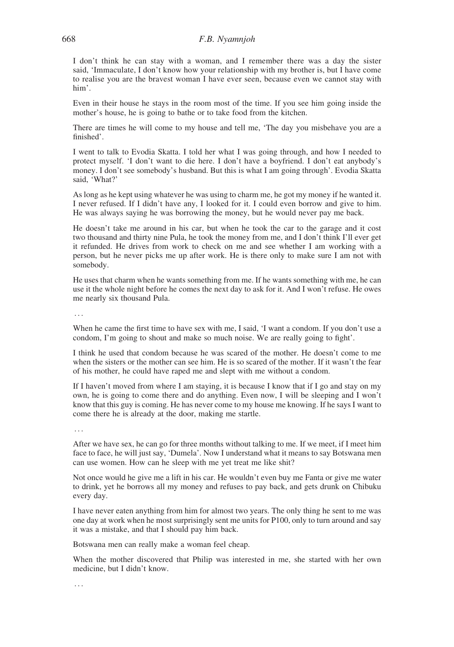#### 668 F.B. Nyamnjoh

I don't think he can stay with a woman, and I remember there was a day the sister said, 'Immaculate, I don't know how your relationship with my brother is, but I have come to realise you are the bravest woman I have ever seen, because even we cannot stay with him'.

Even in their house he stays in the room most of the time. If you see him going inside the mother's house, he is going to bathe or to take food from the kitchen.

There are times he will come to my house and tell me, 'The day you misbehave you are a finished'.

I went to talk to Evodia Skatta. I told her what I was going through, and how I needed to protect myself. 'I don't want to die here. I don't have a boyfriend. I don't eat anybody's money. I don't see somebody's husband. But this is what I am going through'. Evodia Skatta said, 'What?'

As long as he kept using whatever he was using to charm me, he got my money if he wanted it. I never refused. If I didn't have any, I looked for it. I could even borrow and give to him. He was always saying he was borrowing the money, but he would never pay me back.

He doesn't take me around in his car, but when he took the car to the garage and it cost two thousand and thirty nine Pula, he took the money from me, and I don't think I'll ever get it refunded. He drives from work to check on me and see whether I am working with a person, but he never picks me up after work. He is there only to make sure I am not with somebody.

He uses that charm when he wants something from me. If he wants something with me, he can use it the whole night before he comes the next day to ask for it. And I won't refuse. He owes me nearly six thousand Pula.

...

When he came the first time to have sex with me, I said, 'I want a condom. If you don't use a condom, I'm going to shout and make so much noise. We are really going to fight'.

I think he used that condom because he was scared of the mother. He doesn't come to me when the sisters or the mother can see him. He is so scared of the mother. If it wasn't the fear of his mother, he could have raped me and slept with me without a condom.

If I haven't moved from where I am staying, it is because I know that if I go and stay on my own, he is going to come there and do anything. Even now, I will be sleeping and I won't know that this guy is coming. He has never come to my house me knowing. If he says I want to come there he is already at the door, making me startle.

...

After we have sex, he can go for three months without talking to me. If we meet, if I meet him face to face, he will just say, 'Dumela'. Now I understand what it means to say Botswana men can use women. How can he sleep with me yet treat me like shit?

Not once would he give me a lift in his car. He wouldn't even buy me Fanta or give me water to drink, yet he borrows all my money and refuses to pay back, and gets drunk on Chibuku every day.

I have never eaten anything from him for almost two years. The only thing he sent to me was one day at work when he most surprisingly sent me units for P100, only to turn around and say it was a mistake, and that I should pay him back.

Botswana men can really make a woman feel cheap.

When the mother discovered that Philip was interested in me, she started with her own medicine, but I didn't know.

...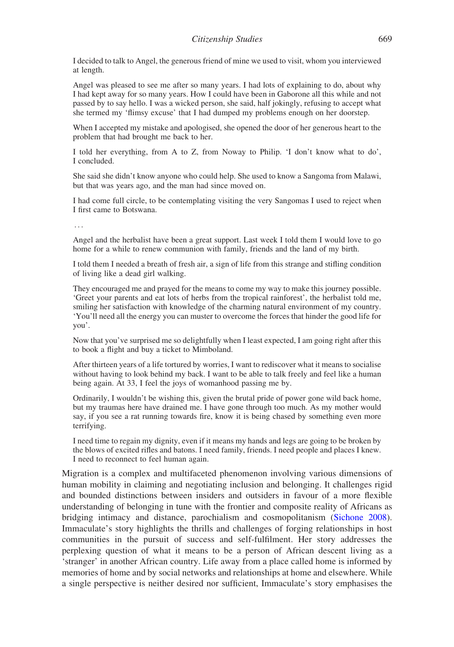I decided to talk to Angel, the generous friend of mine we used to visit, whom you interviewed at length.

Angel was pleased to see me after so many years. I had lots of explaining to do, about why I had kept away for so many years. How I could have been in Gaborone all this while and not passed by to say hello. I was a wicked person, she said, half jokingly, refusing to accept what she termed my 'flimsy excuse' that I had dumped my problems enough on her doorstep.

When I accepted my mistake and apologised, she opened the door of her generous heart to the problem that had brought me back to her.

I told her everything, from A to Z, from Noway to Philip. 'I don't know what to do', I concluded.

She said she didn't know anyone who could help. She used to know a Sangoma from Malawi, but that was years ago, and the man had since moved on.

I had come full circle, to be contemplating visiting the very Sangomas I used to reject when I first came to Botswana.

...

Angel and the herbalist have been a great support. Last week I told them I would love to go home for a while to renew communion with family, friends and the land of my birth.

I told them I needed a breath of fresh air, a sign of life from this strange and stifling condition of living like a dead girl walking.

They encouraged me and prayed for the means to come my way to make this journey possible. 'Greet your parents and eat lots of herbs from the tropical rainforest', the herbalist told me, smiling her satisfaction with knowledge of the charming natural environment of my country. 'You'll need all the energy you can muster to overcome the forces that hinder the good life for you'.

Now that you've surprised me so delightfully when I least expected, I am going right after this to book a flight and buy a ticket to Mimboland.

After thirteen years of a life tortured by worries, I want to rediscover what it means to socialise without having to look behind my back. I want to be able to talk freely and feel like a human being again. At 33, I feel the joys of womanhood passing me by.

Ordinarily, I wouldn't be wishing this, given the brutal pride of power gone wild back home, but my traumas here have drained me. I have gone through too much. As my mother would say, if you see a rat running towards fire, know it is being chased by something even more terrifying.

I need time to regain my dignity, even if it means my hands and legs are going to be broken by the blows of excited rifles and batons. I need family, friends. I need people and places I knew. I need to reconnect to feel human again.

Migration is a complex and multifaceted phenomenon involving various dimensions of human mobility in claiming and negotiating inclusion and belonging. It challenges rigid and bounded distinctions between insiders and outsiders in favour of a more flexible understanding of belonging in tune with the frontier and composite reality of Africans as bridging intimacy and distance, parochialism and cosmopolitanism [\(Sichone 2008](#page-28-7)). Immaculate's story highlights the thrills and challenges of forging relationships in host communities in the pursuit of success and self-fulfilment. Her story addresses the perplexing question of what it means to be a person of African descent living as a 'stranger' in another African country. Life away from a place called home is informed by memories of home and by social networks and relationships at home and elsewhere. While a single perspective is neither desired nor sufficient, Immaculate's story emphasises the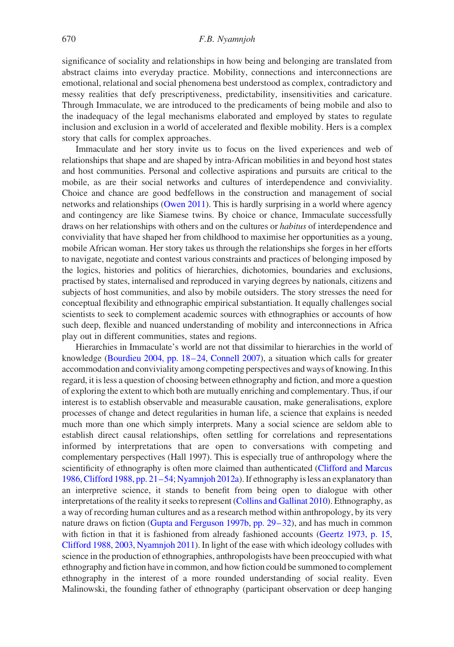significance of sociality and relationships in how being and belonging are translated from abstract claims into everyday practice. Mobility, connections and interconnections are emotional, relational and social phenomena best understood as complex, contradictory and messy realities that defy prescriptiveness, predictability, insensitivities and caricature. Through Immaculate, we are introduced to the predicaments of being mobile and also to the inadequacy of the legal mechanisms elaborated and employed by states to regulate inclusion and exclusion in a world of accelerated and flexible mobility. Hers is a complex story that calls for complex approaches.

Immaculate and her story invite us to focus on the lived experiences and web of relationships that shape and are shaped by intra-African mobilities in and beyond host states and host communities. Personal and collective aspirations and pursuits are critical to the mobile, as are their social networks and cultures of interdependence and conviviality. Choice and chance are good bedfellows in the construction and management of social networks and relationships ([Owen 2011](#page-27-11)). This is hardly surprising in a world where agency and contingency are like Siamese twins. By choice or chance, Immaculate successfully draws on her relationships with others and on the cultures or habitus of interdependence and conviviality that have shaped her from childhood to maximise her opportunities as a young, mobile African woman. Her story takes us through the relationships she forges in her efforts to navigate, negotiate and contest various constraints and practices of belonging imposed by the logics, histories and politics of hierarchies, dichotomies, boundaries and exclusions, practised by states, internalised and reproduced in varying degrees by nationals, citizens and subjects of host communities, and also by mobile outsiders. The story stresses the need for conceptual flexibility and ethnographic empirical substantiation. It equally challenges social scientists to seek to complement academic sources with ethnographies or accounts of how such deep, flexible and nuanced understanding of mobility and interconnections in Africa play out in different communities, states and regions.

Hierarchies in Immaculate's world are not that dissimilar to hierarchies in the world of knowledge ([Bourdieu 2004, pp. 18–24](#page-24-4), [Connell 2007\)](#page-25-19), a situation which calls for greater accommodation and conviviality among competing perspectives and ways of knowing. Inthis regard, it is less a question of choosing between ethnography and fiction, and more a question of exploring the extent to which both are mutually enriching and complementary. Thus, if our interest is to establish observable and measurable causation, make generalisations, explore processes of change and detect regularities in human life, a science that explains is needed much more than one which simply interprets. Many a social science are seldom able to establish direct causal relationships, often settling for correlations and representations informed by interpretations that are open to conversations with competing and complementary perspectives (Hall 1997). This is especially true of anthropology where the scientificity of ethnography is often more claimed than authenticated [\(Clifford and Marcus](#page-25-20) [1986,](#page-25-20)[Clifford 1988, pp. 21–54](#page-25-7); [Nyamnjoh 2012a\)](#page-27-7). If ethnography is less an explanatory than an interpretive science, it stands to benefit from being open to dialogue with other interpretations of the reality it seeks to represent ([Collins and Gallinat 2010](#page-25-5)). Ethnography, as a way of recording human cultures and as a research method within anthropology, by its very nature draws on fiction [\(Gupta and Ferguson 1997b, pp. 29–32](#page-26-7)), and has much in common with fiction in that it is fashioned from already fashioned accounts ([Geertz 1973, p. 15](#page-25-21), [Clifford 1988](#page-25-7), [2003](#page-25-22), [Nyamnjoh 2011\)](#page-27-2). In light of the ease with which ideology colludes with science in the production of ethnographies, anthropologists have been preoccupied with what ethnography and fiction have in common, and how fiction could be summoned to complement ethnography in the interest of a more rounded understanding of social reality. Even Malinowski, the founding father of ethnography (participant observation or deep hanging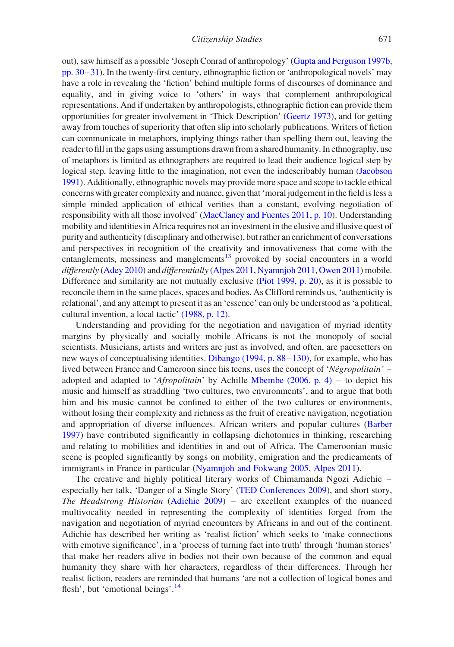out), saw himself as a possible 'Joseph Conrad of anthropology' ([Gupta and Ferguson 1997b,](#page-26-7)  $pp.$  30–31). In the twenty-first century, ethnographic fiction or 'anthropological novels' may have a role in revealing the 'fiction' behind multiple forms of discourses of dominance and equality, and in giving voice to 'others' in ways that complement anthropological representations. And if undertaken by anthropologists, ethnographic fiction can provide them opportunities for greater involvement in 'Thick Description' [\(Geertz 1973](#page-25-21)), and for getting away from touches of superiority that often slip into scholarly publications. Writers of fiction can communicate in metaphors, implying things rather than spelling them out, leaving the reader to fillin the gaps using assumptions drawn from a shared humanity. In ethnography, use of metaphors is limited as ethnographers are required to lead their audience logical step by logical step, leaving little to the imagination, not even the indescribably human [\(Jacobson](#page-26-22) [1991\)](#page-26-22). Additionally, ethnographic novels may provide more space and scope to tackle ethical concerns with greater complexity and nuance, given that 'moral judgement in the field is less a simple minded application of ethical verities than a constant, evolving negotiation of responsibility with all those involved' [\(MacClancy and Fuentes 2011, p. 10](#page-26-9)). Understanding mobility and identities in Africa requires not an investment in the elusive and illusive quest of purity and authenticity (disciplinary and otherwise), but rather an enrichment of conversations and perspectives in recognition of the creativity and innovativeness that come with the entanglements, messiness and manglements $13$  provoked by social encounters in a world differently [\(Adey 2010\)](#page-24-7) and differentially [\(Alpes 2011](#page-24-11), [Nyamnjoh 2011](#page-27-2), [Owen 2011](#page-27-11)) mobile. Difference and similarity are not mutually exclusive ([Piot 1999, p. 20](#page-27-13)), as it is possible to reconcile them in the same places, spaces and bodies. As Clifford reminds us, 'authenticity is relational', and any attempt to present it as an 'essence' can only be understood as 'a political, cultural invention, a local tactic' [\(1988, p. 12\)](#page-25-7).

Understanding and providing for the negotiation and navigation of myriad identity margins by physically and socially mobile Africans is not the monopoly of social scientists. Musicians, artists and writers are just as involved, and often, are pacesetters on new ways of conceptualising identities. [Dibango \(1994, p. 88 –130\),](#page-25-23) for example, who has lived between France and Cameroon since his teens, uses the concept of ' $Négropolitain'$  – adopted and adapted to '*Afropolitain*' by Achille [Mbembe \(2006, p. 4\)](#page-26-23) – to depict his music and himself as straddling 'two cultures, two environments', and to argue that both him and his music cannot be confined to either of the two cultures or environments, without losing their complexity and richness as the fruit of creative navigation, negotiation and appropriation of diverse influences. African writers and popular cultures ([Barber](#page-24-21) [1997](#page-24-21)) have contributed significantly in collapsing dichotomies in thinking, researching and relating to mobilities and identities in and out of Africa. The Cameroonian music scene is peopled significantly by songs on mobility, emigration and the predicaments of immigrants in France in particular ([Nyamnjoh and Fokwang 2005](#page-27-20), [Alpes 2011\)](#page-24-11).

The creative and highly political literary works of Chimamanda Ngozi Adichie – especially her talk, 'Danger of a Single Story' ([TED Conferences 2009\)](#page-28-9), and short story, The Headstrong Historian [\(Adichie 2009\)](#page-24-22) – are excellent examples of the nuanced multivocality needed in representing the complexity of identities forged from the navigation and negotiation of myriad encounters by Africans in and out of the continent. Adichie has described her writing as 'realist fiction' which seeks to 'make connections with emotive significance', in a 'process of turning fact into truth' through 'human stories' that make her readers alive in bodies not their own because of the common and equal humanity they share with her characters, regardless of their differences. Through her realist fiction, readers are reminded that humans 'are not a collection of logical bones and flesh', but 'emotional beings'.<sup>[14](#page-24-23)</sup>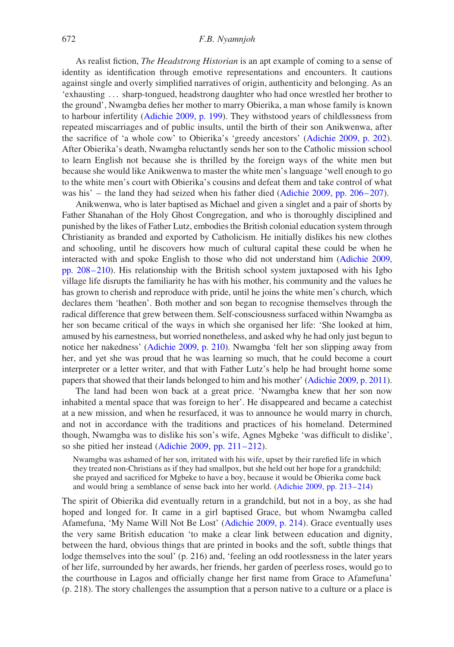As realist fiction, *The Headstrong Historian* is an apt example of coming to a sense of identity as identification through emotive representations and encounters. It cautions against single and overly simplified narratives of origin, authenticity and belonging. As an 'exhausting ... sharp-tongued, headstrong daughter who had once wrestled her brother to the ground', Nwamgba defies her mother to marry Obierika, a man whose family is known to harbour infertility [\(Adichie 2009, p. 199\)](#page-24-22). They withstood years of childlessness from repeated miscarriages and of public insults, until the birth of their son Anikwenwa, after the sacrifice of 'a whole cow' to Obierika's 'greedy ancestors' ([Adichie 2009, p. 202](#page-24-22)). After Obierika's death, Nwamgba reluctantly sends her son to the Catholic mission school to learn English not because she is thrilled by the foreign ways of the white men but because she would like Anikwenwa to master the white men's language 'well enough to go to the white men's court with Obierika's cousins and defeat them and take control of what was his' – the land they had seized when his father died (Adichie 2009, pp.  $206-207$ ).

Anikwenwa, who is later baptised as Michael and given a singlet and a pair of shorts by Father Shanahan of the Holy Ghost Congregation, and who is thoroughly disciplined and punished by the likes of Father Lutz, embodies the British colonial education system through Christianity as branded and exported by Catholicism. He initially dislikes his new clothes and schooling, until he discovers how much of cultural capital these could be when he interacted with and spoke English to those who did not understand him ([Adichie 2009,](#page-24-22) [pp. 208–210\)](#page-24-22). His relationship with the British school system juxtaposed with his Igbo village life disrupts the familiarity he has with his mother, his community and the values he has grown to cherish and reproduce with pride, until he joins the white men's church, which declares them 'heathen'. Both mother and son began to recognise themselves through the radical difference that grew between them. Self-consciousness surfaced within Nwamgba as her son became critical of the ways in which she organised her life: 'She looked at him, amused by his earnestness, but worried nonetheless, and asked why he had only just begun to notice her nakedness' ([Adichie 2009, p. 210](#page-24-22)). Nwamgba 'felt her son slipping away from her, and yet she was proud that he was learning so much, that he could become a court interpreter or a letter writer, and that with Father Lutz's help he had brought home some papers that showed that their lands belonged to him and his mother' [\(Adichie 2009, p. 2011](#page-24-22)).

The land had been won back at a great price. 'Nwamgba knew that her son now inhabited a mental space that was foreign to her'. He disappeared and became a catechist at a new mission, and when he resurfaced, it was to announce he would marry in church, and not in accordance with the traditions and practices of his homeland. Determined though, Nwamgba was to dislike his son's wife, Agnes Mgbeke 'was difficult to dislike', so she pitied her instead (Adichie 2009, pp.  $211-212$ ).

Nwamgba was ashamed of her son, irritated with his wife, upset by their rarefied life in which they treated non-Christians as if they had smallpox, but she held out her hope for a grandchild; she prayed and sacrificed for Mgbeke to have a boy, because it would be Obierika come back and would bring a semblance of sense back into her world. (Adichie 2009, pp. 213–214)

The spirit of Obierika did eventually return in a grandchild, but not in a boy, as she had hoped and longed for. It came in a girl baptised Grace, but whom Nwamgba called Afamefuna, 'My Name Will Not Be Lost' ([Adichie 2009, p. 214\)](#page-24-22). Grace eventually uses the very same British education 'to make a clear link between education and dignity, between the hard, obvious things that are printed in books and the soft, subtle things that lodge themselves into the soul' (p. 216) and, 'feeling an odd rootlessness in the later years of her life, surrounded by her awards, her friends, her garden of peerless roses, would go to the courthouse in Lagos and officially change her first name from Grace to Afamefuna' (p. 218). The story challenges the assumption that a person native to a culture or a place is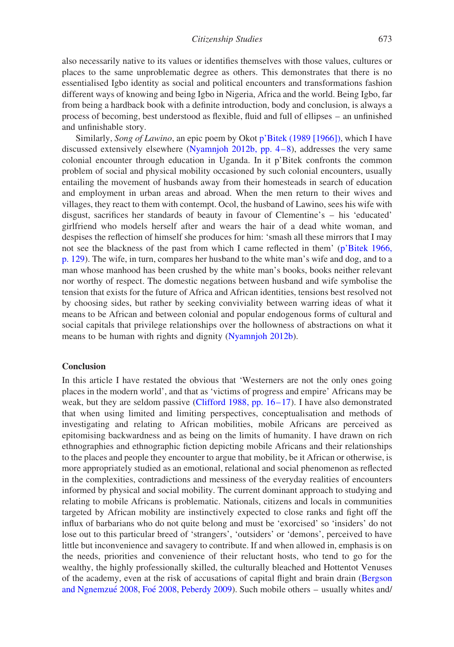also necessarily native to its values or identifies themselves with those values, cultures or places to the same unproblematic degree as others. This demonstrates that there is no essentialised Igbo identity as social and political encounters and transformations fashion different ways of knowing and being Igbo in Nigeria, Africa and the world. Being Igbo, far from being a hardback book with a definite introduction, body and conclusion, is always a process of becoming, best understood as flexible, fluid and full of ellipses – an unfinished and unfinishable story.

Similarly, Song of Lawino, an epic poem by Okot [p'Bitek \(1989 \[1966\]\),](#page-27-21) which I have discussed extensively elsewhere (Nyamnjoh 2012b, pp.  $4-8$ ), addresses the very same colonial encounter through education in Uganda. In it p'Bitek confronts the common problem of social and physical mobility occasioned by such colonial encounters, usually entailing the movement of husbands away from their homesteads in search of education and employment in urban areas and abroad. When the men return to their wives and villages, they react to them with contempt. Ocol, the husband of Lawino, sees his wife with disgust, sacrifices her standards of beauty in favour of Clementine's – his 'educated' girlfriend who models herself after and wears the hair of a dead white woman, and despises the reflection of himself she produces for him: 'smash all these mirrors that I may not see the blackness of the past from which I came reflected in them' ([p'Bitek 1966,](#page-27-21) [p. 129](#page-27-21)). The wife, in turn, compares her husband to the white man's wife and dog, and to a man whose manhood has been crushed by the white man's books, books neither relevant nor worthy of respect. The domestic negations between husband and wife symbolise the tension that exists for the future of Africa and African identities, tensions best resolved not by choosing sides, but rather by seeking conviviality between warring ideas of what it means to be African and between colonial and popular endogenous forms of cultural and social capitals that privilege relationships over the hollowness of abstractions on what it means to be human with rights and dignity [\(Nyamnjoh 2012b](#page-27-22)).

#### **Conclusion**

In this article I have restated the obvious that 'Westerners are not the only ones going places in the modern world', and that as 'victims of progress and empire' Africans may be weak, but they are seldom passive (Clifford 1988, pp.  $16-17$ ). I have also demonstrated that when using limited and limiting perspectives, conceptualisation and methods of investigating and relating to African mobilities, mobile Africans are perceived as epitomising backwardness and as being on the limits of humanity. I have drawn on rich ethnographies and ethnographic fiction depicting mobile Africans and their relationships to the places and people they encounter to argue that mobility, be it African or otherwise, is more appropriately studied as an emotional, relational and social phenomenon as reflected in the complexities, contradictions and messiness of the everyday realities of encounters informed by physical and social mobility. The current dominant approach to studying and relating to mobile Africans is problematic. Nationals, citizens and locals in communities targeted by African mobility are instinctively expected to close ranks and fight off the influx of barbarians who do not quite belong and must be 'exorcised' so 'insiders' do not lose out to this particular breed of 'strangers', 'outsiders' or 'demons', perceived to have little but inconvenience and savagery to contribute. If and when allowed in, emphasis is on the needs, priorities and convenience of their reluctant hosts, who tend to go for the wealthy, the highly professionally skilled, the culturally bleached and Hottentot Venuses of the academy, even at the risk of accusations of capital flight and brain drain ([Bergson](#page-24-12) and Ngnemzué [2008](#page-25-11), Foé 2008, [Peberdy 2009\)](#page-27-12). Such mobile others – usually whites and/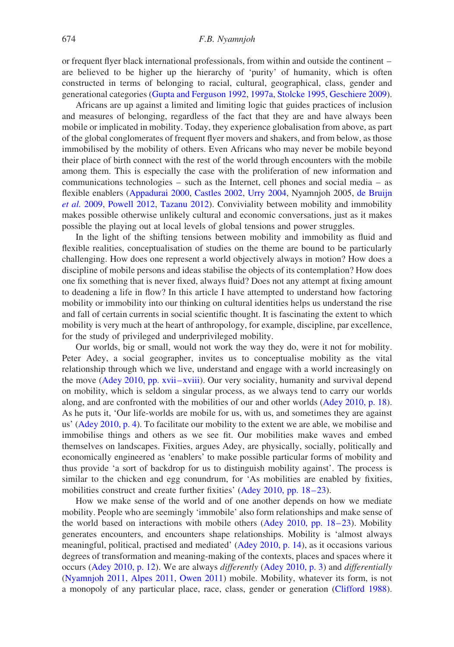or frequent flyer black international professionals, from within and outside the continent – are believed to be higher up the hierarchy of 'purity' of humanity, which is often constructed in terms of belonging to racial, cultural, geographical, class, gender and generational categories [\(Gupta and Ferguson 1992,](#page-26-1) [1997a,](#page-26-7) [Stolcke 1995](#page-28-10), [Geschiere 2009](#page-25-2)).

Africans are up against a limited and limiting logic that guides practices of inclusion and measures of belonging, regardless of the fact that they are and have always been mobile or implicated in mobility. Today, they experience globalisation from above, as part of the global conglomerates of frequent flyer movers and shakers, and from below, as those immobilised by the mobility of others. Even Africans who may never be mobile beyond their place of birth connect with the rest of the world through encounters with the mobile among them. This is especially the case with the proliferation of new information and communications technologies – such as the Internet, cell phones and social media – as flexible enablers [\(Appadurai 2000,](#page-24-2) [Castles 2002](#page-24-1), [Urry 2004](#page-28-11), Nyamnjoh 2005, [de Bruijn](#page-25-24) [et al.](#page-25-24) 2009, [Powell 2012](#page-27-23), [Tazanu 2012\)](#page-28-12). Conviviality between mobility and immobility makes possible otherwise unlikely cultural and economic conversations, just as it makes possible the playing out at local levels of global tensions and power struggles.

In the light of the shifting tensions between mobility and immobility as fluid and flexible realities, conceptualisation of studies on the theme are bound to be particularly challenging. How does one represent a world objectively always in motion? How does a discipline of mobile persons and ideas stabilise the objects of its contemplation? How does one fix something that is never fixed, always fluid? Does not any attempt at fixing amount to deadening a life in flow? In this article I have attempted to understand how factoring mobility or immobility into our thinking on cultural identities helps us understand the rise and fall of certain currents in social scientific thought. It is fascinating the extent to which mobility is very much at the heart of anthropology, for example, discipline, par excellence, for the study of privileged and underprivileged mobility.

Our worlds, big or small, would not work the way they do, were it not for mobility. Peter Adey, a social geographer, invites us to conceptualise mobility as the vital relationship through which we live, understand and engage with a world increasingly on the move ([Adey 2010, pp. xvii– xviii\)](#page-24-7). Our very sociality, humanity and survival depend on mobility, which is seldom a singular process, as we always tend to carry our worlds along, and are confronted with the mobilities of our and other worlds ([Adey 2010, p. 18](#page-24-7)). As he puts it, 'Our life-worlds are mobile for us, with us, and sometimes they are against us' [\(Adey 2010, p. 4](#page-24-7)). To facilitate our mobility to the extent we are able, we mobilise and immobilise things and others as we see fit. Our mobilities make waves and embed themselves on landscapes. Fixities, argues Adey, are physically, socially, politically and economically engineered as 'enablers' to make possible particular forms of mobility and thus provide 'a sort of backdrop for us to distinguish mobility against'. The process is similar to the chicken and egg conundrum, for 'As mobilities are enabled by fixities, mobilities construct and create further fixities' (Adey 2010, pp. 18–23).

How we make sense of the world and of one another depends on how we mediate mobility. People who are seemingly 'immobile' also form relationships and make sense of the world based on interactions with mobile others  $(Adey 2010, pp. 18–23)$ . Mobility generates encounters, and encounters shape relationships. Mobility is 'almost always meaningful, political, practised and mediated' [\(Adey 2010, p. 14](#page-24-7)), as it occasions various degrees of transformation and meaning-making of the contexts, places and spaces where it occurs [\(Adey 2010, p. 12\)](#page-24-7). We are always differently [\(Adey 2010, p. 3\)](#page-24-7) and differentially ([Nyamnjoh 2011](#page-27-2), [Alpes 2011](#page-24-11), [Owen 2011](#page-27-11)) mobile. Mobility, whatever its form, is not a monopoly of any particular place, race, class, gender or generation ([Clifford 1988](#page-25-7)).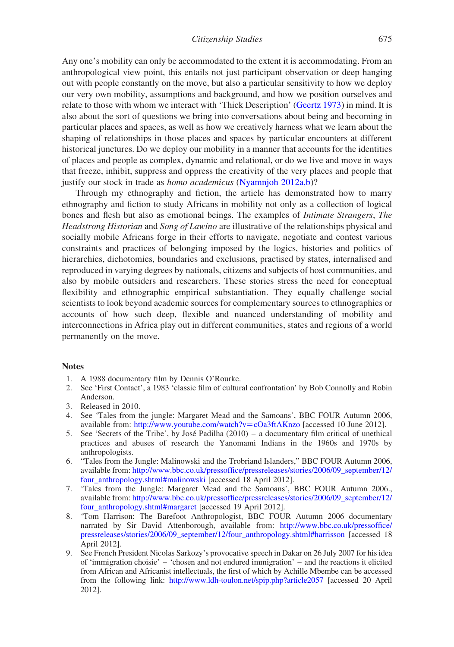Any one's mobility can only be accommodated to the extent it is accommodating. From an anthropological view point, this entails not just participant observation or deep hanging out with people constantly on the move, but also a particular sensitivity to how we deploy our very own mobility, assumptions and background, and how we position ourselves and relate to those with whom we interact with 'Thick Description' ([Geertz 1973\)](#page-25-21) in mind. It is also about the sort of questions we bring into conversations about being and becoming in particular places and spaces, as well as how we creatively harness what we learn about the shaping of relationships in those places and spaces by particular encounters at different historical junctures. Do we deploy our mobility in a manner that accounts for the identities of places and people as complex, dynamic and relational, or do we live and move in ways that freeze, inhibit, suppress and oppress the creativity of the very places and people that justify our stock in trade as *homo academicus* [\(Nyamnjoh 2012a,b](#page-27-7))?

Through my ethnography and fiction, the article has demonstrated how to marry ethnography and fiction to study Africans in mobility not only as a collection of logical bones and flesh but also as emotional beings. The examples of Intimate Strangers, The Headstrong Historian and Song of Lawino are illustrative of the relationships physical and socially mobile Africans forge in their efforts to navigate, negotiate and contest various constraints and practices of belonging imposed by the logics, histories and politics of hierarchies, dichotomies, boundaries and exclusions, practised by states, internalised and reproduced in varying degrees by nationals, citizens and subjects of host communities, and also by mobile outsiders and researchers. These stories stress the need for conceptual flexibility and ethnographic empirical substantiation. They equally challenge social scientists to look beyond academic sources for complementary sources to ethnographies or accounts of how such deep, flexible and nuanced understanding of mobility and interconnections in Africa play out in different communities, states and regions of a world permanently on the move.

#### **Notes**

- <span id="page-23-0"></span>1. A 1988 documentary film by Dennis O'Rourke.
- <span id="page-23-1"></span>2. See 'First Contact', a 1983 'classic film of cultural confrontation' by Bob Connolly and Robin Anderson.
- <span id="page-23-2"></span>3. Released in 2010.
- <span id="page-23-3"></span>4. See 'Tales from the jungle: Margaret Mead and the Samoans', BBC FOUR Autumn 2006, available from: [http://www.youtube.com/watch?v](http://www.youtube.com/watch?v=cOa3ftAKnzo)=cOa3ftAKnzo [accessed 10 June 2012].
- <span id="page-23-4"></span>5. See 'Secrets of the Tribe', by José Padilha  $(2010) - a$  documentary film critical of unethical practices and abuses of research the Yanomami Indians in the 1960s and 1970s by anthropologists.
- <span id="page-23-5"></span>6. "Tales from the Jungle: Malinowski and the Trobriand Islanders," BBC FOUR Autumn 2006, available from: [http://www.bbc.co.uk/pressoffice/pressreleases/stories/2006/09\\_september/12/](http://www.bbc.co.uk/pressoffice/pressreleases/stories/2006/09_september/12/four_anthropology.shtml#malinowski) [four\\_anthropology.shtml#malinowski](http://www.bbc.co.uk/pressoffice/pressreleases/stories/2006/09_september/12/four_anthropology.shtml#malinowski) [accessed 18 April 2012].
- <span id="page-23-6"></span>7. 'Tales from the Jungle: Margaret Mead and the Samoans', BBC FOUR Autumn 2006., available from: [http://www.bbc.co.uk/pressoffice/pressreleases/stories/2006/09\\_september/12/](http://www.bbc.co.uk/pressoffice/pressreleases/stories/2006/09_september/12/four_anthropology.shtml#margaret) [four\\_anthropology.shtml#margaret](http://www.bbc.co.uk/pressoffice/pressreleases/stories/2006/09_september/12/four_anthropology.shtml#margaret) [accessed 19 April 2012].
- <span id="page-23-7"></span>8. 'Tom Harrison: The Barefoot Anthropologist, BBC FOUR Autumn 2006 documentary narrated by Sir David Attenborough, available from: [http://www.bbc.co.uk/pressoffice/](http://www.bbc.co.uk/pressoffice/pressreleases/stories/2006/09_september/12/four_anthropology.shtml#harrisson) [pressreleases/stories/2006/09\\_september/12/four\\_anthropology.shtml#harrisson](http://www.bbc.co.uk/pressoffice/pressreleases/stories/2006/09_september/12/four_anthropology.shtml#harrisson) [accessed 18 April 2012].
- <span id="page-23-8"></span>9. See French President Nicolas Sarkozy's provocative speech in Dakar on 26 July 2007 for his idea of 'immigration choisie' – 'chosen and not endured immigration' – and the reactions it elicited from African and Africanist intellectuals, the first of which by Achille Mbembe can be accessed from the following link: <http://www.ldh-toulon.net/spip.php?article2057> [accessed 20 April 2012].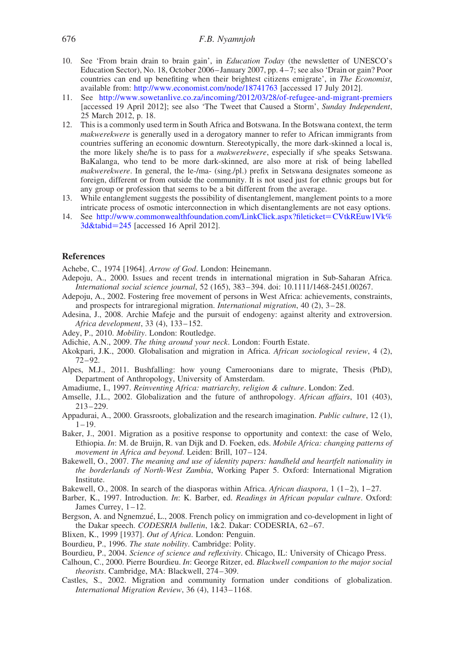#### 676 F.B. Nyamnjoh

- <span id="page-24-15"></span>10. See 'From brain drain to brain gain', in Education Today (the newsletter of UNESCO's Education Sector), No. 18, October 2006– January 2007, pp. 4– 7; see also 'Drain or gain? Poor countries can end up benefiting when their brightest citizens emigrate', in The Economist, available from: <http://www.economist.com/node/18741763> [accessed 17 July 2012].
- <span id="page-24-17"></span>11. See <http://www.sowetanlive.co.za/incoming/2012/03/28/of-refugee-and-migrant-premiers> [accessed 19 April 2012]; see also 'The Tweet that Caused a Storm', Sunday Independent, 25 March 2012, p. 18.
- <span id="page-24-18"></span>12. This is a commonly used term in South Africa and Botswana. In the Botswana context, the term makwerekwere is generally used in a derogatory manner to refer to African immigrants from countries suffering an economic downturn. Stereotypically, the more dark-skinned a local is, the more likely she/he is to pass for a makwerekwere, especially if s/he speaks Setswana. BaKalanga, who tend to be more dark-skinned, are also more at risk of being labelled makwerekwere. In general, the le-/ma- (sing./pl.) prefix in Setswana designates someone as foreign, different or from outside the community. It is not used just for ethnic groups but for any group or profession that seems to be a bit different from the average.
- <span id="page-24-20"></span>13. While entanglement suggests the possibility of disentanglement, manglement points to a more intricate process of osmotic interconnection in which disentanglements are not easy options.
- <span id="page-24-23"></span>14. See [http://www.commonwealthfoundation.com/LinkClick.aspx?fileticket](http://www.commonwealthfoundation.com/LinkClick.aspx?fileticket=CVtkREuw1Vk%3d&tabid=245)=CVtkREuw1Vk%  $3d\&tabid = 245$  [accessed 16 April 2012].

#### **References**

<span id="page-24-19"></span><span id="page-24-13"></span>Achebe, C., 1974 [1964]. Arrow of God. London: Heinemann.

- Adepoju, A., 2000. Issues and recent trends in international migration in Sub-Saharan Africa. International social science journal, 52 (165), 383– 394. doi: 10.1111/1468-2451.00267.
- Adepoju, A., 2002. Fostering free movement of persons in West Africa: achievements, constraints, and prospects for intraregional migration. International migration, 40 (2), 3 – 28.
- <span id="page-24-5"></span>Adesina, J., 2008. Archie Mafeje and the pursuit of endogeny: against alterity and extroversion. Africa development, 33 (4), 133– 152.
- <span id="page-24-22"></span><span id="page-24-7"></span>Adey, P., 2010. Mobility. London: Routledge.
- Adichie, A.N., 2009. The thing around your neck. London: Fourth Estate.
- Akokpari, J.K., 2000. Globalisation and migration in Africa. African sociological review, 4 (2),  $72 - 92.$
- <span id="page-24-11"></span>Alpes, M.J., 2011. Bushfalling: how young Cameroonians dare to migrate, Thesis (PhD), Department of Anthropology, University of Amsterdam.
- <span id="page-24-8"></span><span id="page-24-6"></span>Amadiume, I., 1997. Reinventing Africa: matriarchy, religion & culture. London: Zed.
- Amselle, J.L., 2002. Globalization and the future of anthropology. African affairs, 101 (403), 213– 229.
- <span id="page-24-2"></span>Appadurai, A., 2000. Grassroots, globalization and the research imagination. Public culture, 12 (1),  $1 - 19$ .
- <span id="page-24-14"></span>Baker, J., 2001. Migration as a positive response to opportunity and context: the case of Welo, Ethiopia. In: M. de Bruijn, R. van Dijk and D. Foeken, eds. Mobile Africa: changing patterns of movement in Africa and beyond. Leiden: Brill, 107-124.
- <span id="page-24-16"></span>Bakewell, O., 2007. The meaning and use of identity papers: handheld and heartfelt nationality in the borderlands of North-West Zambia, Working Paper 5. Oxford: International Migration Institute.

<span id="page-24-0"></span>Bakewell, O., 2008. In search of the diasporas within Africa. African diaspora,  $1(1-2)$ ,  $1-27$ .

- <span id="page-24-21"></span>Barber, K., 1997. Introduction. In: K. Barber, ed. Readings in African popular culture. Oxford: James Currey,  $1-12$ .
- <span id="page-24-12"></span>Bergson, A. and Ngnemzué, L., 2008. French policy on immigration and co-development in light of the Dakar speech. CODESRIA bulletin, 1&2. Dakar: CODESRIA, 62-67.
- <span id="page-24-9"></span><span id="page-24-3"></span>Blixen, K., 1999 [1937]. Out of Africa. London: Penguin.
- <span id="page-24-4"></span>Bourdieu, P., 1996. The state nobility. Cambridge: Polity.
- <span id="page-24-10"></span>Bourdieu, P., 2004. Science of science and reflexivity. Chicago, IL: University of Chicago Press.
- Calhoun, C., 2000. Pierre Bourdieu. In: George Ritzer, ed. Blackwell companion to the major social theorists. Cambridge, MA: Blackwell, 274– 309.
- <span id="page-24-1"></span>Castles, S., 2002. Migration and community formation under conditions of globalization. International Migration Review, 36 (4), 1143– 1168.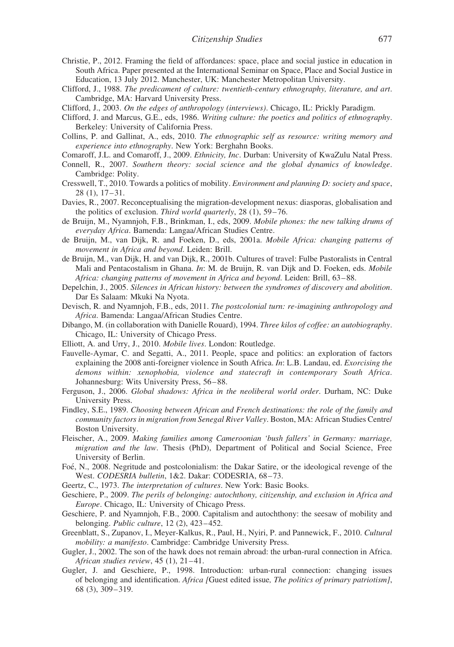- <span id="page-25-18"></span>Christie, P., 2012. Framing the field of affordances: space, place and social justice in education in South Africa. Paper presented at the International Seminar on Space, Place and Social Justice in Education, 13 July 2012. Manchester, UK: Manchester Metropolitan University.
- <span id="page-25-7"></span>Clifford, J., 1988. The predicament of culture: twentieth-century ethnography, literature, and art. Cambridge, MA: Harvard University Press.
- <span id="page-25-22"></span>Clifford, J., 2003. On the edges of anthropology (interviews). Chicago, IL: Prickly Paradigm.
- <span id="page-25-20"></span>Clifford, J. and Marcus, G.E., eds, 1986. Writing culture: the poetics and politics of ethnography. Berkeley: University of California Press.
- <span id="page-25-5"></span>Collins, P. and Gallinat, A., eds, 2010. The ethnographic self as resource: writing memory and experience into ethnography. New York: Berghahn Books.
- <span id="page-25-1"></span>Comaroff, J.L. and Comaroff, J., 2009. Ethnicity, Inc. Durban: University of KwaZulu Natal Press.
- <span id="page-25-19"></span>Connell, R., 2007. Southern theory: social science and the global dynamics of knowledge. Cambridge: Polity.
- <span id="page-25-0"></span>Cresswell, T., 2010. Towards a politics of mobility. Environment and planning D: society and space, 28 (1), 17 – 31.
- Davies, R., 2007. Reconceptualising the migration-development nexus: diasporas, globalisation and the politics of exclusion. Third world quarterly, 28 (1), 59–76.
- <span id="page-25-24"></span>de Bruijn, M., Nyamnjoh, F.B., Brinkman, I., eds, 2009. Mobile phones: the new talking drums of everyday Africa. Bamenda: Langaa/African Studies Centre.
- <span id="page-25-8"></span>de Bruijn, M., van Dijk, R. and Foeken, D., eds, 2001a. Mobile Africa: changing patterns of movement in Africa and beyond. Leiden: Brill.
- <span id="page-25-13"></span>de Bruijn, M., van Dijk, H. and van Dijk, R., 2001b. Cultures of travel: Fulbe Pastoralists in Central Mali and Pentacostalism in Ghana. In: M. de Bruijn, R. van Dijk and D. Foeken, eds. Mobile Africa: changing patterns of movement in Africa and beyond. Leiden: Brill, 63–88.
- <span id="page-25-4"></span>Depelchin, J., 2005. Silences in African history: between the syndromes of discovery and abolition. Dar Es Salaam: Mkuki Na Nyota.
- <span id="page-25-6"></span>Devisch, R. and Nyamnjoh, F.B., eds, 2011. The postcolonial turn: re-imagining anthropology and Africa. Bamenda: Langaa/African Studies Centre.
- <span id="page-25-23"></span>Dibango, M. (in collaboration with Danielle Rouard), 1994. Three kilos of coffee: an autobiography. Chicago, IL: University of Chicago Press.
- <span id="page-25-17"></span><span id="page-25-10"></span>Elliott, A. and Urry, J., 2010. Mobile lives. London: Routledge.
- Fauvelle-Aymar, C. and Segatti, A., 2011. People, space and politics: an exploration of factors explaining the 2008 anti-foreigner violence in South Africa. In: L.B. Landau, ed. Exorcising the demons within: xenophobia, violence and statecraft in contemporary South Africa. Johannesburg: Wits University Press, 56 – 88.
- <span id="page-25-12"></span><span id="page-25-3"></span>Ferguson, J., 2006. Global shadows: Africa in the neoliberal world order. Durham, NC: Duke University Press.
- Findley, S.E., 1989. Choosing between African and French destinations: the role of the family and community factors in migration from Senegal River Valley. Boston, MA: African Studies Centre/ Boston University.
- Fleischer, A., 2009. Making families among Cameroonian 'bush fallers' in Germany: marriage, migration and the law. Thesis (PhD), Department of Political and Social Science, Free University of Berlin.
- <span id="page-25-21"></span><span id="page-25-11"></span>Foe´, N., 2008. Negritude and postcolonialism: the Dakar Satire, or the ideological revenge of the West. CODESRIA bulletin, 1&2. Dakar: CODESRIA, 68-73.
- <span id="page-25-2"></span>Geertz, C., 1973. The interpretation of cultures. New York: Basic Books.
- <span id="page-25-15"></span>Geschiere, P., 2009. The perils of belonging: autochthony, citizenship, and exclusion in Africa and Europe. Chicago, IL: University of Chicago Press.
- <span id="page-25-9"></span>Geschiere, P. and Nyamnjoh, F.B., 2000. Capitalism and autochthony: the seesaw of mobility and belonging. Public culture,  $12$  (2),  $423-452$ .
- <span id="page-25-16"></span>Greenblatt, S., Zupanov, I., Meyer-Kalkus, R., Paul, H., Nyiri, P. and Pannewick, F., 2010. Cultural mobility: a manifesto. Cambridge: Cambridge University Press.
- <span id="page-25-14"></span>Gugler, J., 2002. The son of the hawk does not remain abroad: the urban-rural connection in Africa. African studies review,  $45$  (1),  $21-41$ .
- Gugler, J. and Geschiere, P., 1998. Introduction: urban-rural connection: changing issues of belonging and identification. Africa [Guest edited issue, The politics of primary patriotism], 68 (3), 309– 319.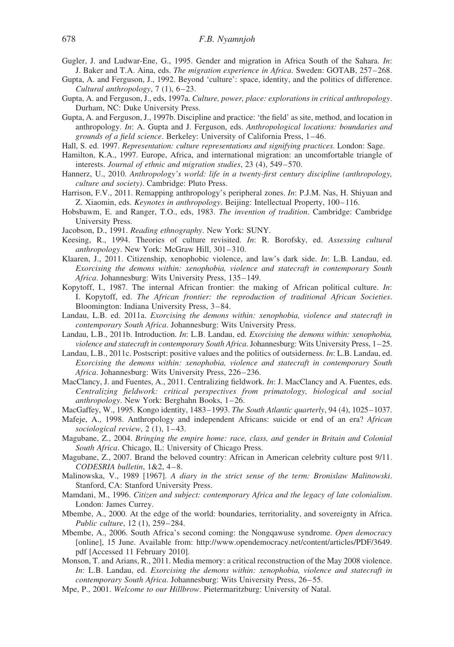- Gugler, J. and Ludwar-Ene, G., 1995. Gender and migration in Africa South of the Sahara. In: J. Baker and T.A. Aina, eds. The migration experience in Africa. Sweden: GOTAB, 257–268.
- <span id="page-26-1"></span>Gupta, A. and Ferguson, J., 1992. Beyond 'culture': space, identity, and the politics of difference. Cultural anthropology,  $7(1)$ ,  $6-23$ .
- <span id="page-26-2"></span>Gupta, A. and Ferguson, J., eds, 1997a. Culture, power, place: explorations in critical anthropology. Durham, NC: Duke University Press.
- <span id="page-26-7"></span>Gupta, A. and Ferguson, J., 1997b. Discipline and practice: 'the field' as site, method, and location in anthropology. In: A. Gupta and J. Ferguson, eds. Anthropological locations: boundaries and grounds of a field science. Berkeley: University of California Press, 1– 46.
- Hall, S. ed. 1997. Representation: culture representations and signifying practices. London: Sage.
- Hamilton, K.A., 1997. Europe, Africa, and international migration: an uncomfortable triangle of interests. Journal of ethnic and migration studies, 23 (4), 549–570.
- <span id="page-26-8"></span>Hannerz, U., 2010. Anthropology's world: life in a twenty-first century discipline (anthropology, culture and society). Cambridge: Pluto Press.
- <span id="page-26-12"></span>Harrison, F.V., 2011. Remapping anthropology's peripheral zones. In: P.J.M. Nas, H. Shiyuan and Z. Xiaomin, eds. *Keynotes in anthropology*. Beijing: Intellectual Property, 100–116.
- <span id="page-26-3"></span>Hobsbawm, E. and Ranger, T.O., eds, 1983. The invention of tradition. Cambridge: Cambridge University Press.
- <span id="page-26-22"></span><span id="page-26-4"></span>Jacobson, D., 1991. Reading ethnography. New York: SUNY.
- Keesing, R., 1994. Theories of culture revisited. In: R. Borofsky, ed. Assessing cultural anthropology. New York: McGraw Hill, 301-310.
- <span id="page-26-16"></span>Klaaren, J., 2011. Citizenship, xenophobic violence, and law's dark side. In: L.B. Landau, ed. Exorcising the demons within: xenophobia, violence and statecraft in contemporary South Africa. Johannesburg: Wits University Press, 135-149.
- <span id="page-26-0"></span>Kopytoff, I., 1987. The internal African frontier: the making of African political culture. In: I. Kopytoff, ed. The African frontier: the reproduction of traditional African Societies. Bloomington: Indiana University Press, 3–84.
- <span id="page-26-15"></span>Landau, L.B. ed. 2011a. Exorcising the demons within: xenophobia, violence and statecraft in contemporary South Africa. Johannesburg: Wits University Press.
- <span id="page-26-19"></span><span id="page-26-18"></span>Landau, L.B., 2011b. Introduction. In: L.B. Landau, ed. Exorcising the demons within: xenophobia, violence and statecraft in contemporary South Africa. Johannesburg: Wits University Press, 1–25.
- Landau, L.B., 2011c. Postscript: positive values and the politics of outsiderness. In: L.B. Landau, ed. Exorcising the demons within: xenophobia, violence and statecraft in contemporary South Africa. Johannesburg: Wits University Press, 226-236.
- <span id="page-26-9"></span>MacClancy, J. and Fuentes, A., 2011. Centralizing fieldwork. *In*: J. MacClancy and A. Fuentes, eds. Centralizing fieldwork: critical perspectives from primatology, biological and social anthropology. New York: Berghahn Books, 1-26.
- <span id="page-26-6"></span><span id="page-26-5"></span>MacGaffey, W., 1995. Kongo identity, 1483–1993. The South Atlantic quarterly, 94 (4), 1025–1037.
- <span id="page-26-11"></span>Mafeje, A., 1998. Anthropology and independent Africans: suicide or end of an era? African sociological review,  $2(1)$ ,  $1-43$ .
- <span id="page-26-13"></span>Magubane, Z., 2004. Bringing the empire home: race, class, and gender in Britain and Colonial South Africa. Chicago, IL: University of Chicago Press.
- <span id="page-26-10"></span>Magubane, Z., 2007. Brand the beloved country: African in American celebrity culture post 9/11. CODESRIA bulletin, 1&2, 4-8.
- <span id="page-26-17"></span>Malinowska, V., 1989 [1967]. A diary in the strict sense of the term: Bronislaw Malinowski. Stanford, CA: Stanford University Press.
- <span id="page-26-14"></span>Mamdani, M., 1996. Citizen and subject: contemporary Africa and the legacy of late colonialism. London: James Currey.
- <span id="page-26-23"></span>Mbembe, A., 2000. At the edge of the world: boundaries, territoriality, and sovereignty in Africa. Public culture, 12 (1), 259-284.
- <span id="page-26-21"></span>Mbembe, A., 2006. South Africa's second coming: the Nongqawuse syndrome. Open democracy [online], 15 June. Available from: http://www.opendemocracy.net/content/articles/PDF/3649. pdf [Accessed 11 February 2010].
- <span id="page-26-20"></span>Monson, T. and Arians, R., 2011. Media memory: a critical reconstruction of the May 2008 violence. In: L.B. Landau, ed. Exorcising the demons within: xenophobia, violence and statecraft in contemporary South Africa. Johannesburg: Wits University Press, 26–55.
- Mpe, P., 2001. Welcome to our Hillbrow. Pietermaritzburg: University of Natal.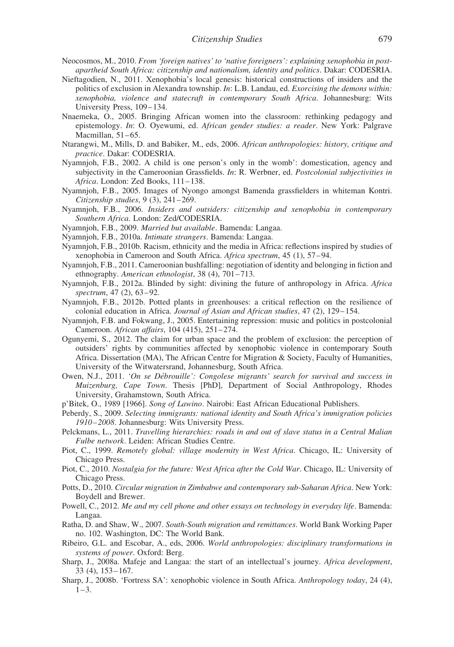- <span id="page-27-14"></span>Neocosmos, M., 2010. From 'foreign natives' to 'native foreigners': explaining xenophobia in postapartheid South Africa: citizenship and nationalism, identity and politics. Dakar: CODESRIA.
- <span id="page-27-16"></span>Nieftagodien, N., 2011. Xenophobia's local genesis: historical constructions of insiders and the politics of exclusion in Alexandra township. In: L.B. Landau, ed. Exorcising the demons within: xenophobia, violence and statecraft in contemporary South Africa. Johannesburg: Wits University Press, 109-134.
- <span id="page-27-10"></span>Nnaemeka, O., 2005. Bringing African women into the classroom: rethinking pedagogy and epistemology. In: O. Oyewumi, ed. African gender studies: a reader. New York: Palgrave Macmillan,  $51-65$ .
- <span id="page-27-9"></span>Ntarangwi, M., Mills, D. and Babiker, M., eds, 2006. African anthropologies: history, critique and practice. Dakar: CODESRIA.
- <span id="page-27-1"></span>Nyamnjoh, F.B., 2002. A child is one person's only in the womb': domestication, agency and subjectivity in the Cameroonian Grassfields. In: R. Werbner, ed. *Postcolonial subjectivities in* Africa. London: Zed Books, 111– 138.
- Nyamnjoh, F.B., 2005. Images of Nyongo amongst Bamenda grassfielders in whiteman Kontri. Citizenship studies,  $9(3)$ ,  $241-269$ .
- <span id="page-27-4"></span>Nyamnjoh, F.B., 2006. Insiders and outsiders: citizenship and xenophobia in contemporary Southern Africa. London: Zed/CODESRIA.
- <span id="page-27-19"></span>Nyamnjoh, F.B., 2009. Married but available. Bamenda: Langaa.
- <span id="page-27-0"></span>Nyamnjoh, F.B., 2010a. Intimate strangers. Bamenda: Langaa.
- <span id="page-27-18"></span>Nyamnjoh, F.B., 2010b. Racism, ethnicity and the media in Africa: reflections inspired by studies of xenophobia in Cameroon and South Africa. Africa spectrum, 45 (1), 57 – 94.
- <span id="page-27-2"></span>Nyamnjoh, F.B., 2011. Cameroonian bushfalling: negotiation of identity and belonging in fiction and ethnography. American ethnologist, 38 (4), 701-713.
- <span id="page-27-7"></span>Nyamnjoh, F.B., 2012a. Blinded by sight: divining the future of anthropology in Africa. Africa spectrum, 47 (2), 63-92.
- <span id="page-27-22"></span>Nyamnjoh, F.B., 2012b. Potted plants in greenhouses: a critical reflection on the resilience of colonial education in Africa. Journal of Asian and African studies, 47 (2), 129– 154.
- <span id="page-27-20"></span>Nyamnjoh, F.B. and Fokwang, J., 2005. Entertaining repression: music and politics in postcolonial Cameroon. African affairs, 104 (415), 251-274.
- <span id="page-27-17"></span>Ogunyemi, S., 2012. The claim for urban space and the problem of exclusion: the perception of outsiders' rights by communities affected by xenophobic violence in contemporary South Africa. Dissertation (MA), The African Centre for Migration & Society, Faculty of Humanities, University of the Witwatersrand, Johannesburg, South Africa.
- <span id="page-27-11"></span>Owen, N.J., 2011. 'On se Débrouille': Congolese migrants' search for survival and success in Muizenburg, Cape Town. Thesis [PhD], Department of Social Anthropology, Rhodes University, Grahamstown, South Africa.
- <span id="page-27-21"></span><span id="page-27-12"></span>p'Bitek, O., 1989 [1966]. Song of Lawino. Nairobi: East African Educational Publishers.
- Peberdy, S., 2009. Selecting immigrants: national identity and South Africa's immigration policies 1910– 2008. Johannesburg: Wits University Press.
- <span id="page-27-3"></span>Pelckmans, L., 2011. Travelling hierarchies: roads in and out of slave status in a Central Malian Fulbe network. Leiden: African Studies Centre.
- <span id="page-27-13"></span>Piot, C., 1999. Remotely global: village modernity in West Africa. Chicago, IL: University of Chicago Press.
- <span id="page-27-5"></span>Piot, C., 2010. Nostalgia for the future: West Africa after the Cold War. Chicago, IL: University of Chicago Press.
- Potts, D., 2010. Circular migration in Zimbabwe and contemporary sub-Saharan Africa. New York: Boydell and Brewer.
- <span id="page-27-23"></span>Powell, C., 2012. Me and my cell phone and other essays on technology in everyday life. Bamenda: Langaa.
- Ratha, D. and Shaw, W., 2007. South-South migration and remittances. World Bank Working Paper no. 102. Washington, DC: The World Bank.
- <span id="page-27-8"></span>Ribeiro, G.L. and Escobar, A., eds, 2006. World anthropologies: disciplinary transformations in systems of power. Oxford: Berg.
- <span id="page-27-6"></span>Sharp, J., 2008a. Mafeje and Langaa: the start of an intellectual's journey. Africa development, 33 (4), 153– 167.
- <span id="page-27-15"></span>Sharp, J., 2008b. 'Fortress SA': xenophobic violence in South Africa. Anthropology today, 24 (4),  $1 - 3$ .